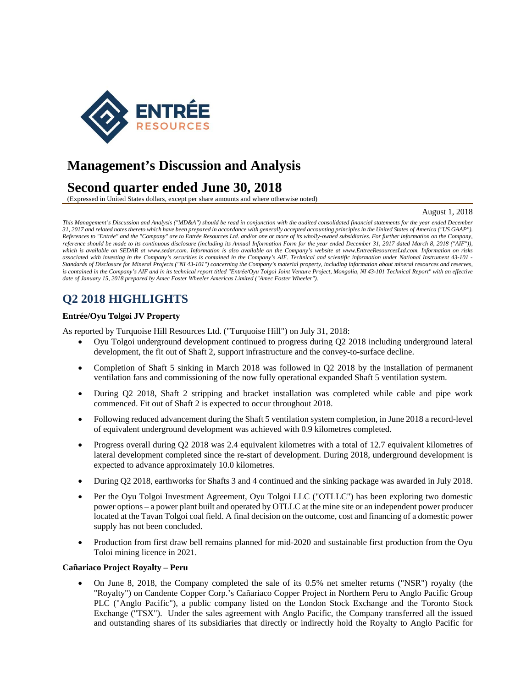

# **Management's Discussion and Analysis**

# **Second quarter ended June 30, 2018**

(Expressed in United States dollars, except per share amounts and where otherwise noted)

#### August 1, 2018

*This Management's Discussion and Analysis ("MD&A") should be read in conjunction with the audited consolidated financial statements for the year ended December 31, 2017 and related notes thereto which have been prepared in accordance with generally accepted accounting principles in the United States of America ("US GAAP"). References to "Entrée" and the "Company" are to Entrée Resources Ltd. and/or one or more of its wholly-owned subsidiaries. For further information on the Company, reference should be made to its continuous disclosure (including its Annual Information Form for the year ended December 31, 2017 dated March 8, 2018 ("AIF")), which is available on SEDAR at www.sedar.com. Information is also available on the Company's website at www.EntreeResourcesLtd.com. Information on risks associated with investing in the Company's securities is contained in the Company's AIF. Technical and scientific information under National Instrument 43-101 - Standards of Disclosure for Mineral Projects ("NI 43-101") concerning the Company's material property, including information about mineral resources and reserves,*  is contained in the Company's AIF and in its technical report titled "Entrée/Oyu Tolgoi Joint Venture Project, Mongolia, NI 43-101 Technical Report" with an effective *date of January 15, 2018 prepared by Amec Foster Wheeler Americas Limited ("Amec Foster Wheeler").* 

# **Q2 2018 HIGHLIGHTS**

### **Entrée/Oyu Tolgoi JV Property**

As reported by Turquoise Hill Resources Ltd. ("Turquoise Hill") on July 31, 2018:

- Oyu Tolgoi underground development continued to progress during Q2 2018 including underground lateral development, the fit out of Shaft 2, support infrastructure and the convey-to-surface decline.
- Completion of Shaft 5 sinking in March 2018 was followed in Q2 2018 by the installation of permanent ventilation fans and commissioning of the now fully operational expanded Shaft 5 ventilation system.
- During Q2 2018, Shaft 2 stripping and bracket installation was completed while cable and pipe work commenced. Fit out of Shaft 2 is expected to occur throughout 2018.
- Following reduced advancement during the Shaft 5 ventilation system completion, in June 2018 a record-level of equivalent underground development was achieved with 0.9 kilometres completed.
- Progress overall during Q2 2018 was 2.4 equivalent kilometres with a total of 12.7 equivalent kilometres of lateral development completed since the re-start of development. During 2018, underground development is expected to advance approximately 10.0 kilometres.
- During Q2 2018, earthworks for Shafts 3 and 4 continued and the sinking package was awarded in July 2018.
- Per the Oyu Tolgoi Investment Agreement, Oyu Tolgoi LLC ("OTLLC") has been exploring two domestic power options – a power plant built and operated by OTLLC at the mine site or an independent power producer located at the Tavan Tolgoi coal field. A final decision on the outcome, cost and financing of a domestic power supply has not been concluded.
- Production from first draw bell remains planned for mid-2020 and sustainable first production from the Oyu Toloi mining licence in 2021.

#### **Cañariaco Project Royalty – Peru**

 On June 8, 2018, the Company completed the sale of its 0.5% net smelter returns ("NSR") royalty (the "Royalty") on Candente Copper Corp.'s Cañariaco Copper Project in Northern Peru to Anglo Pacific Group PLC ("Anglo Pacific"), a public company listed on the London Stock Exchange and the Toronto Stock Exchange ("TSX"). Under the sales agreement with Anglo Pacific, the Company transferred all the issued and outstanding shares of its subsidiaries that directly or indirectly hold the Royalty to Anglo Pacific for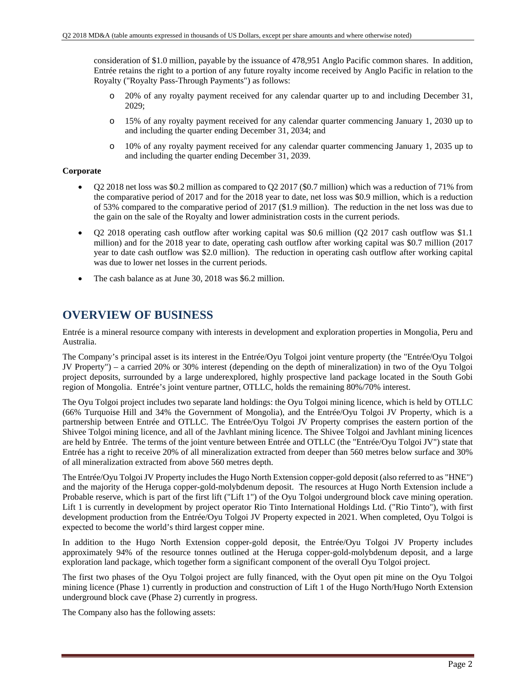consideration of \$1.0 million, payable by the issuance of 478,951 Anglo Pacific common shares. In addition, Entrée retains the right to a portion of any future royalty income received by Anglo Pacific in relation to the Royalty ("Royalty Pass-Through Payments") as follows:

- o 20% of any royalty payment received for any calendar quarter up to and including December 31, 2029;
- o 15% of any royalty payment received for any calendar quarter commencing January 1, 2030 up to and including the quarter ending December 31, 2034; and
- o 10% of any royalty payment received for any calendar quarter commencing January 1, 2035 up to and including the quarter ending December 31, 2039.

### **Corporate**

- Q2 2018 net loss was \$0.2 million as compared to Q2 2017 (\$0.7 million) which was a reduction of 71% from the comparative period of 2017 and for the 2018 year to date, net loss was \$0.9 million, which is a reduction of 53% compared to the comparative period of 2017 (\$1.9 million). The reduction in the net loss was due to the gain on the sale of the Royalty and lower administration costs in the current periods.
- Q2 2018 operating cash outflow after working capital was \$0.6 million (Q2 2017 cash outflow was \$1.1 million) and for the 2018 year to date, operating cash outflow after working capital was \$0.7 million (2017 year to date cash outflow was \$2.0 million). The reduction in operating cash outflow after working capital was due to lower net losses in the current periods.
- The cash balance as at June 30, 2018 was \$6.2 million.

## **OVERVIEW OF BUSINESS**

Entrée is a mineral resource company with interests in development and exploration properties in Mongolia, Peru and Australia.

The Company's principal asset is its interest in the Entrée/Oyu Tolgoi joint venture property (the "Entrée/Oyu Tolgoi JV Property") – a carried 20% or 30% interest (depending on the depth of mineralization) in two of the Oyu Tolgoi project deposits, surrounded by a large underexplored, highly prospective land package located in the South Gobi region of Mongolia. Entrée's joint venture partner, OTLLC, holds the remaining 80%/70% interest.

The Oyu Tolgoi project includes two separate land holdings: the Oyu Tolgoi mining licence, which is held by OTLLC (66% Turquoise Hill and 34% the Government of Mongolia), and the Entrée/Oyu Tolgoi JV Property, which is a partnership between Entrée and OTLLC. The Entrée/Oyu Tolgoi JV Property comprises the eastern portion of the Shivee Tolgoi mining licence, and all of the Javhlant mining licence. The Shivee Tolgoi and Javhlant mining licences are held by Entrée. The terms of the joint venture between Entrée and OTLLC (the "Entrée/Oyu Tolgoi JV") state that Entrée has a right to receive 20% of all mineralization extracted from deeper than 560 metres below surface and 30% of all mineralization extracted from above 560 metres depth.

The Entrée/Oyu Tolgoi JV Property includes the Hugo North Extension copper-gold deposit (also referred to as "HNE") and the majority of the Heruga copper-gold-molybdenum deposit. The resources at Hugo North Extension include a Probable reserve, which is part of the first lift ("Lift 1") of the Oyu Tolgoi underground block cave mining operation. Lift 1 is currently in development by project operator Rio Tinto International Holdings Ltd. ("Rio Tinto"), with first development production from the Entrée/Oyu Tolgoi JV Property expected in 2021. When completed, Oyu Tolgoi is expected to become the world's third largest copper mine.

In addition to the Hugo North Extension copper-gold deposit, the Entrée/Oyu Tolgoi JV Property includes approximately 94% of the resource tonnes outlined at the Heruga copper-gold-molybdenum deposit, and a large exploration land package, which together form a significant component of the overall Oyu Tolgoi project.

The first two phases of the Oyu Tolgoi project are fully financed, with the Oyut open pit mine on the Oyu Tolgoi mining licence (Phase 1) currently in production and construction of Lift 1 of the Hugo North/Hugo North Extension underground block cave (Phase 2) currently in progress.

The Company also has the following assets: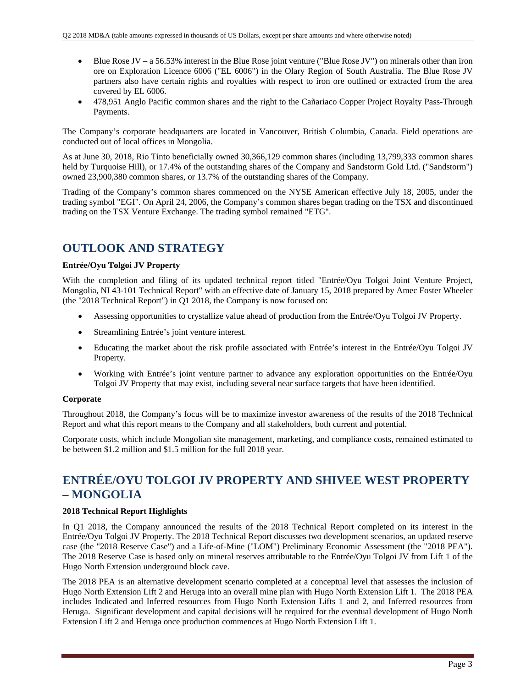- Blue Rose JV a 56.53% interest in the Blue Rose joint venture ("Blue Rose JV") on minerals other than iron ore on Exploration Licence 6006 ("EL 6006") in the Olary Region of South Australia. The Blue Rose JV partners also have certain rights and royalties with respect to iron ore outlined or extracted from the area covered by EL 6006.
- 478,951 Anglo Pacific common shares and the right to the Cañariaco Copper Project Royalty Pass-Through Payments.

The Company's corporate headquarters are located in Vancouver, British Columbia, Canada. Field operations are conducted out of local offices in Mongolia.

As at June 30, 2018, Rio Tinto beneficially owned 30,366,129 common shares (including 13,799,333 common shares held by Turquoise Hill), or 17.4% of the outstanding shares of the Company and Sandstorm Gold Ltd. ("Sandstorm") owned 23,900,380 common shares, or 13.7% of the outstanding shares of the Company.

Trading of the Company's common shares commenced on the NYSE American effective July 18, 2005, under the trading symbol "EGI". On April 24, 2006, the Company's common shares began trading on the TSX and discontinued trading on the TSX Venture Exchange. The trading symbol remained "ETG".

## **OUTLOOK AND STRATEGY**

### **Entrée/Oyu Tolgoi JV Property**

With the completion and filing of its updated technical report titled "Entrée/Oyu Tolgoi Joint Venture Project, Mongolia, NI 43-101 Technical Report" with an effective date of January 15, 2018 prepared by Amec Foster Wheeler (the "2018 Technical Report") in Q1 2018, the Company is now focused on:

- Assessing opportunities to crystallize value ahead of production from the Entrée/Oyu Tolgoi JV Property.
- Streamlining Entrée's joint venture interest.
- Educating the market about the risk profile associated with Entrée's interest in the Entrée/Oyu Tolgoi JV Property.
- Working with Entrée's joint venture partner to advance any exploration opportunities on the Entrée/Oyu Tolgoi JV Property that may exist, including several near surface targets that have been identified.

### **Corporate**

Throughout 2018, the Company's focus will be to maximize investor awareness of the results of the 2018 Technical Report and what this report means to the Company and all stakeholders, both current and potential.

Corporate costs, which include Mongolian site management, marketing, and compliance costs, remained estimated to be between \$1.2 million and \$1.5 million for the full 2018 year.

## **ENTRÉE/OYU TOLGOI JV PROPERTY AND SHIVEE WEST PROPERTY – MONGOLIA**

### **2018 Technical Report Highlights**

In Q1 2018, the Company announced the results of the 2018 Technical Report completed on its interest in the Entrée/Oyu Tolgoi JV Property. The 2018 Technical Report discusses two development scenarios, an updated reserve case (the "2018 Reserve Case") and a Life-of-Mine ("LOM") Preliminary Economic Assessment (the "2018 PEA"). The 2018 Reserve Case is based only on mineral reserves attributable to the Entrée/Oyu Tolgoi JV from Lift 1 of the Hugo North Extension underground block cave.

The 2018 PEA is an alternative development scenario completed at a conceptual level that assesses the inclusion of Hugo North Extension Lift 2 and Heruga into an overall mine plan with Hugo North Extension Lift 1. The 2018 PEA includes Indicated and Inferred resources from Hugo North Extension Lifts 1 and 2, and Inferred resources from Heruga. Significant development and capital decisions will be required for the eventual development of Hugo North Extension Lift 2 and Heruga once production commences at Hugo North Extension Lift 1.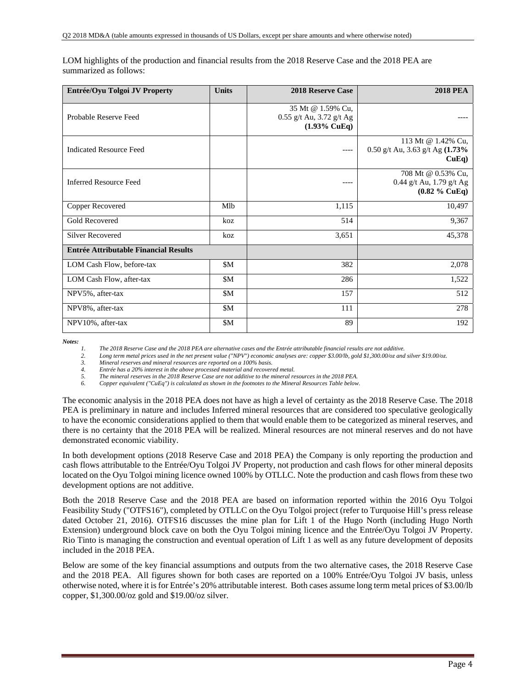| Entrée/Oyu Tolgoi JV Property                | <b>Units</b> | <b>2018 Reserve Case</b>                                                   | <b>2018 PEA</b>                                                    |
|----------------------------------------------|--------------|----------------------------------------------------------------------------|--------------------------------------------------------------------|
| Probable Reserve Feed                        |              | 35 Mt @ 1.59% Cu,<br>$0.55$ g/t Au, 3.72 g/t Ag<br>$(1.93\% \text{ CuEq})$ |                                                                    |
| <b>Indicated Resource Feed</b>               |              | ----                                                                       | 113 Mt @ 1.42% Cu,<br>0.50 g/t Au, 3.63 g/t Ag (1.73%<br>$CuEq$ )  |
| <b>Inferred Resource Feed</b>                |              | ----                                                                       | 708 Mt @ 0.53% Cu,<br>0.44 g/t Au, 1.79 g/t Ag<br>$(0.82 \%$ CuEq) |
| Copper Recovered                             | Mlb          | 1,115                                                                      | 10,497                                                             |
| <b>Gold Recovered</b>                        | koz          | 514                                                                        | 9,367                                                              |
| <b>Silver Recovered</b>                      | koz          | 3,651                                                                      | 45,378                                                             |
| <b>Entrée Attributable Financial Results</b> |              |                                                                            |                                                                    |
| LOM Cash Flow, before-tax                    | \$M          | 382                                                                        | 2,078                                                              |
| LOM Cash Flow, after-tax                     | \$M          | 286                                                                        | 1,522                                                              |
| NPV5%, after-tax                             | <b>\$M</b>   | 157                                                                        | 512                                                                |
| NPV8%, after-tax                             | \$M          | 111                                                                        | 278                                                                |
| NPV10%, after-tax                            | \$M          | 89                                                                         | 192                                                                |

LOM highlights of the production and financial results from the 2018 Reserve Case and the 2018 PEA are summarized as follows:

*Notes:* 

*1. The 2018 Reserve Case and the 2018 PEA are alternative cases and the Entrée attributable financial results are not additive.* 

2. Long term metal prices used in the net present value ("NPV") economic analyses are: copper \$3.00/lb, gold \$1,300.00/oz and silver \$19.00/oz.

*3. Mineral reserves and mineral resources are reported on a 100% basis.* 

*4. Entrée has a 20% interest in the above processed material and recovered metal.* 

*5. The mineral reserves in the 2018 Reserve Case are not additive to the mineral resources in the 2018 PEA.* 

*6. Copper equivalent ("CuEq") is calculated as shown in the footnotes to the Mineral Resources Table below.* 

The economic analysis in the 2018 PEA does not have as high a level of certainty as the 2018 Reserve Case. The 2018 PEA is preliminary in nature and includes Inferred mineral resources that are considered too speculative geologically to have the economic considerations applied to them that would enable them to be categorized as mineral reserves, and there is no certainty that the 2018 PEA will be realized. Mineral resources are not mineral reserves and do not have demonstrated economic viability.

In both development options (2018 Reserve Case and 2018 PEA) the Company is only reporting the production and cash flows attributable to the Entrée/Oyu Tolgoi JV Property, not production and cash flows for other mineral deposits located on the Oyu Tolgoi mining licence owned 100% by OTLLC. Note the production and cash flows from these two development options are not additive.

Both the 2018 Reserve Case and the 2018 PEA are based on information reported within the 2016 Oyu Tolgoi Feasibility Study ("OTFS16"), completed by OTLLC on the Oyu Tolgoi project (refer to Turquoise Hill's press release dated October 21, 2016). OTFS16 discusses the mine plan for Lift 1 of the Hugo North (including Hugo North Extension) underground block cave on both the Oyu Tolgoi mining licence and the Entrée/Oyu Tolgoi JV Property. Rio Tinto is managing the construction and eventual operation of Lift 1 as well as any future development of deposits included in the 2018 PEA.

Below are some of the key financial assumptions and outputs from the two alternative cases, the 2018 Reserve Case and the 2018 PEA. All figures shown for both cases are reported on a 100% Entrée/Oyu Tolgoi JV basis, unless otherwise noted, where it is for Entrée's 20% attributable interest. Both cases assume long term metal prices of \$3.00/lb copper, \$1,300.00/oz gold and \$19.00/oz silver.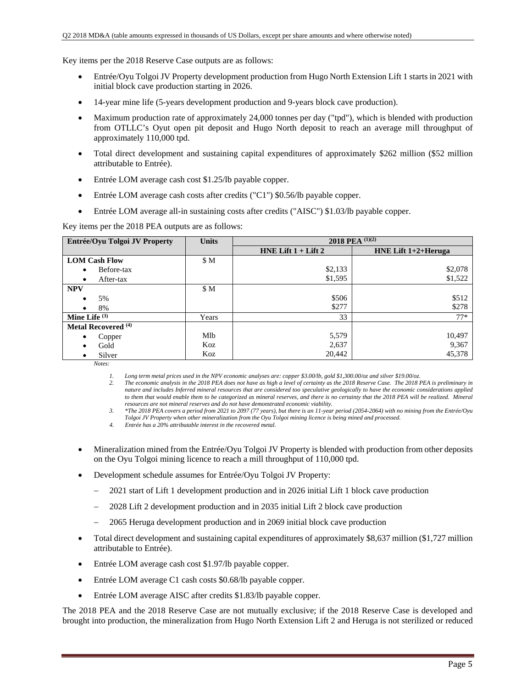Key items per the 2018 Reserve Case outputs are as follows:

- Entrée/Oyu Tolgoi JV Property development production from Hugo North Extension Lift 1 starts in 2021 with initial block cave production starting in 2026.
- 14-year mine life (5-years development production and 9-years block cave production).
- Maximum production rate of approximately 24,000 tonnes per day ("tpd"), which is blended with production from OTLLC's Oyut open pit deposit and Hugo North deposit to reach an average mill throughput of approximately 110,000 tpd.
- Total direct development and sustaining capital expenditures of approximately \$262 million (\$52 million attributable to Entrée).
- Entrée LOM average cash cost \$1.25/lb payable copper.
- Entrée LOM average cash costs after credits ("C1") \$0.56/lb payable copper.
- Entrée LOM average all-in sustaining costs after credits ("AISC") \$1.03/lb payable copper.

Key items per the 2018 PEA outputs are as follows:

| Entrée/Oyu Tolgoi JV Property  | <b>Units</b> |                         | 2018 PEA (1)(2)        |
|--------------------------------|--------------|-------------------------|------------------------|
|                                |              | HNE Lift $1 +$ Lift $2$ | HNE Lift $1+2+$ Heruga |
| <b>LOM Cash Flow</b>           | \$M          |                         |                        |
| Before-tax                     |              | \$2,133                 | \$2,078                |
| After-tax<br>$\bullet$         |              | \$1,595                 | \$1,522                |
| <b>NPV</b>                     | \$M          |                         |                        |
| 5%                             |              | \$506                   | \$512                  |
| 8%                             |              | \$277                   | \$278                  |
| Mine Life $(3)$                | Years        | 33                      | $77*$                  |
| Metal Recovered <sup>(4)</sup> |              |                         |                        |
| Copper                         | Mlb          | 5,579                   | 10,497                 |
| Gold                           | Koz          | 2,637                   | 9,367                  |
| Silver                         | Koz          | 20,442                  | 45,378                 |

*Notes:* 

*1. Long term metal prices used in the NPV economic analyses are: copper \$3.00/lb, gold \$1,300.00/oz and silver \$19.00/oz.* 

*2. The economic analysis in the 2018 PEA does not have as high a level of certainty as the 2018 Reserve Case. The 2018 PEA is preliminary in nature and includes Inferred mineral resources that are considered too speculative geologically to have the economic considerations applied*  to them that would enable them to be categorized as mineral reserves, and there is no certainty that the 2018 PEA will be realized. Mineral *resources are not mineral reserves and do not have demonstrated economic viability.* 

*3. \*The 2018 PEA covers a period from 2021 to 2097 (77 years), but there is an 11-year period (2054-2064) with no mining from the Entrée/Oyu* 

*Tolgoi JV Property when other mineralization from the Oyu Tolgoi mining licence is being mined and processed.* 

*4. Entrée has a 20% attributable interest in the recovered metal.* 

- Mineralization mined from the Entrée/Oyu Tolgoi JV Property is blended with production from other deposits on the Oyu Tolgoi mining licence to reach a mill throughput of 110,000 tpd.
- Development schedule assumes for Entrée/Oyu Tolgoi JV Property:
	- 2021 start of Lift 1 development production and in 2026 initial Lift 1 block cave production
	- 2028 Lift 2 development production and in 2035 initial Lift 2 block cave production
	- 2065 Heruga development production and in 2069 initial block cave production
- Total direct development and sustaining capital expenditures of approximately \$8,637 million (\$1,727 million attributable to Entrée).
- Entrée LOM average cash cost \$1.97/lb payable copper.
- Entrée LOM average C1 cash costs \$0.68/lb payable copper.
- Entrée LOM average AISC after credits \$1.83/lb payable copper.

The 2018 PEA and the 2018 Reserve Case are not mutually exclusive; if the 2018 Reserve Case is developed and brought into production, the mineralization from Hugo North Extension Lift 2 and Heruga is not sterilized or reduced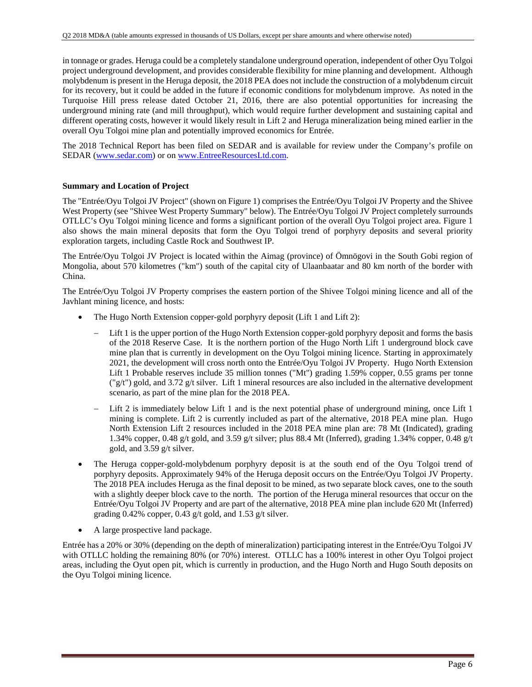in tonnage or grades. Heruga could be a completely standalone underground operation, independent of other Oyu Tolgoi project underground development, and provides considerable flexibility for mine planning and development. Although molybdenum is present in the Heruga deposit, the 2018 PEA does not include the construction of a molybdenum circuit for its recovery, but it could be added in the future if economic conditions for molybdenum improve. As noted in the Turquoise Hill press release dated October 21, 2016, there are also potential opportunities for increasing the underground mining rate (and mill throughput), which would require further development and sustaining capital and different operating costs, however it would likely result in Lift 2 and Heruga mineralization being mined earlier in the overall Oyu Tolgoi mine plan and potentially improved economics for Entrée.

The 2018 Technical Report has been filed on SEDAR and is available for review under the Company's profile on SEDAR (www.sedar.com) or on www.EntreeResourcesLtd.com.

### **Summary and Location of Project**

The "Entrée/Oyu Tolgoi JV Project" (shown on Figure 1) comprises the Entrée/Oyu Tolgoi JV Property and the Shivee West Property (see "Shivee West Property Summary" below). The Entrée/Oyu Tolgoi JV Project completely surrounds OTLLC's Oyu Tolgoi mining licence and forms a significant portion of the overall Oyu Tolgoi project area. Figure 1 also shows the main mineral deposits that form the Oyu Tolgoi trend of porphyry deposits and several priority exploration targets, including Castle Rock and Southwest IP.

The Entrée/Oyu Tolgoi JV Project is located within the Aimag (province) of Ömnögovi in the South Gobi region of Mongolia, about 570 kilometres ("km") south of the capital city of Ulaanbaatar and 80 km north of the border with China.

The Entrée/Oyu Tolgoi JV Property comprises the eastern portion of the Shivee Tolgoi mining licence and all of the Javhlant mining licence, and hosts:

- The Hugo North Extension copper-gold porphyry deposit (Lift 1 and Lift 2):
	- Lift 1 is the upper portion of the Hugo North Extension copper-gold porphyry deposit and forms the basis of the 2018 Reserve Case. It is the northern portion of the Hugo North Lift 1 underground block cave mine plan that is currently in development on the Oyu Tolgoi mining licence. Starting in approximately 2021, the development will cross north onto the Entrée/Oyu Tolgoi JV Property. Hugo North Extension Lift 1 Probable reserves include 35 million tonnes ("Mt") grading 1.59% copper, 0.55 grams per tonne  $\frac{(\nabla g(t))}{g(t)}$  gold, and 3.72 g/t silver. Lift 1 mineral resources are also included in the alternative development scenario, as part of the mine plan for the 2018 PEA.
	- Lift 2 is immediately below Lift 1 and is the next potential phase of underground mining, once Lift 1 mining is complete. Lift 2 is currently included as part of the alternative, 2018 PEA mine plan. Hugo North Extension Lift 2 resources included in the 2018 PEA mine plan are: 78 Mt (Indicated), grading 1.34% copper, 0.48 g/t gold, and 3.59 g/t silver; plus 88.4 Mt (Inferred), grading 1.34% copper, 0.48 g/t gold, and 3.59 g/t silver.
- The Heruga copper-gold-molybdenum porphyry deposit is at the south end of the Oyu Tolgoi trend of porphyry deposits. Approximately 94% of the Heruga deposit occurs on the Entrée/Oyu Tolgoi JV Property. The 2018 PEA includes Heruga as the final deposit to be mined, as two separate block caves, one to the south with a slightly deeper block cave to the north. The portion of the Heruga mineral resources that occur on the Entrée/Oyu Tolgoi JV Property and are part of the alternative, 2018 PEA mine plan include 620 Mt (Inferred) grading 0.42% copper, 0.43 g/t gold, and 1.53 g/t silver.
- A large prospective land package.

Entrée has a 20% or 30% (depending on the depth of mineralization) participating interest in the Entrée/Oyu Tolgoi JV with OTLLC holding the remaining 80% (or 70%) interest. OTLLC has a 100% interest in other Oyu Tolgoi project areas, including the Oyut open pit, which is currently in production, and the Hugo North and Hugo South deposits on the Oyu Tolgoi mining licence.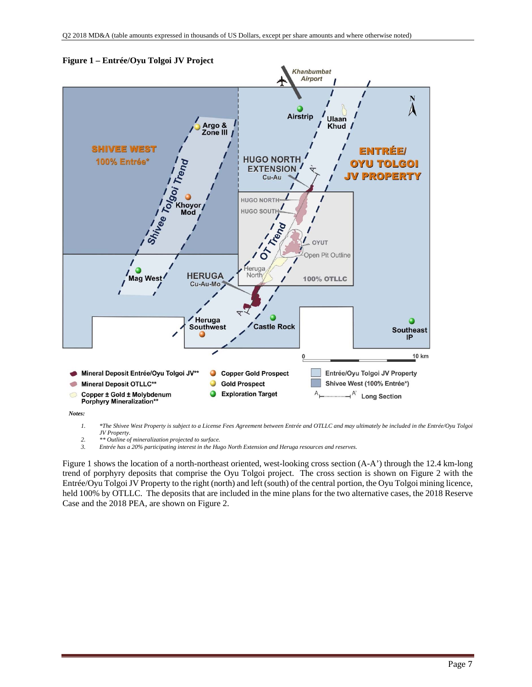

#### **Figure 1 – Entrée/Oyu Tolgoi JV Project**

*Notes:* 

*1. \*The Shivee West Property is subject to a License Fees Agreement between Entrée and OTLLC and may ultimately be included in the Entrée/Oyu Tolgoi JV Property.* 

- *2. \*\* Outline of mineralization projected to surface.*
- *3. Entrée has a 20% participating interest in the Hugo North Extension and Heruga resources and reserves.*

Figure 1 shows the location of a north-northeast oriented, west-looking cross section (A-A') through the 12.4 km-long trend of porphyry deposits that comprise the Oyu Tolgoi project. The cross section is shown on Figure 2 with the Entrée/Oyu Tolgoi JV Property to the right (north) and left (south) of the central portion, the Oyu Tolgoi mining licence, held 100% by OTLLC. The deposits that are included in the mine plans for the two alternative cases, the 2018 Reserve Case and the 2018 PEA, are shown on Figure 2.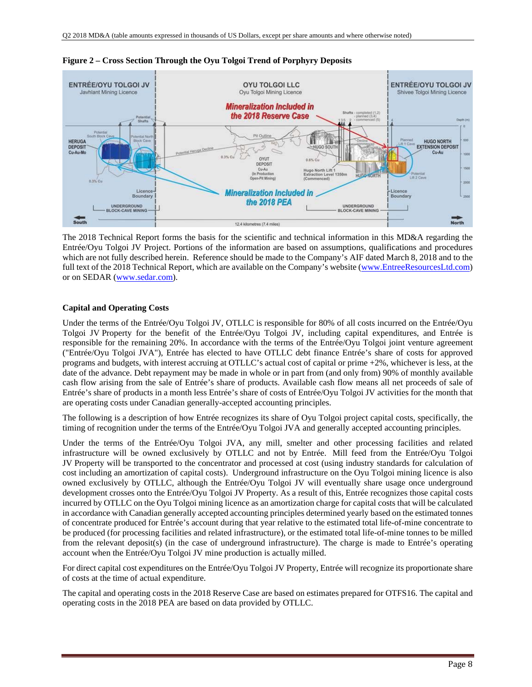

**Figure 2 – Cross Section Through the Oyu Tolgoi Trend of Porphyry Deposits** 

The 2018 Technical Report forms the basis for the scientific and technical information in this MD&A regarding the Entrée/Oyu Tolgoi JV Project. Portions of the information are based on assumptions, qualifications and procedures which are not fully described herein. Reference should be made to the Company's AIF dated March 8, 2018 and to the full text of the 2018 Technical Report, which are available on the Company's website (www.EntreeResourcesLtd.com) or on SEDAR (www.sedar.com).

### **Capital and Operating Costs**

Under the terms of the Entrée/Oyu Tolgoi JV, OTLLC is responsible for 80% of all costs incurred on the Entrée/Oyu Tolgoi JV Property for the benefit of the Entrée/Oyu Tolgoi JV, including capital expenditures, and Entrée is responsible for the remaining 20%. In accordance with the terms of the Entrée/Oyu Tolgoi joint venture agreement ("Entrée/Oyu Tolgoi JVA"), Entrée has elected to have OTLLC debt finance Entrée's share of costs for approved programs and budgets, with interest accruing at OTLLC's actual cost of capital or prime +2%, whichever is less, at the date of the advance. Debt repayment may be made in whole or in part from (and only from) 90% of monthly available cash flow arising from the sale of Entrée's share of products. Available cash flow means all net proceeds of sale of Entrée's share of products in a month less Entrée's share of costs of Entrée/Oyu Tolgoi JV activities for the month that are operating costs under Canadian generally-accepted accounting principles.

The following is a description of how Entrée recognizes its share of Oyu Tolgoi project capital costs, specifically, the timing of recognition under the terms of the Entrée/Oyu Tolgoi JVA and generally accepted accounting principles.

Under the terms of the Entrée/Oyu Tolgoi JVA, any mill, smelter and other processing facilities and related infrastructure will be owned exclusively by OTLLC and not by Entrée. Mill feed from the Entrée/Oyu Tolgoi JV Property will be transported to the concentrator and processed at cost (using industry standards for calculation of cost including an amortization of capital costs). Underground infrastructure on the Oyu Tolgoi mining licence is also owned exclusively by OTLLC, although the Entrée/Oyu Tolgoi JV will eventually share usage once underground development crosses onto the Entrée/Oyu Tolgoi JV Property. As a result of this, Entrée recognizes those capital costs incurred by OTLLC on the Oyu Tolgoi mining licence as an amortization charge for capital costs that will be calculated in accordance with Canadian generally accepted accounting principles determined yearly based on the estimated tonnes of concentrate produced for Entrée's account during that year relative to the estimated total life-of-mine concentrate to be produced (for processing facilities and related infrastructure), or the estimated total life-of-mine tonnes to be milled from the relevant deposit(s) (in the case of underground infrastructure). The charge is made to Entrée's operating account when the Entrée/Oyu Tolgoi JV mine production is actually milled.

For direct capital cost expenditures on the Entrée/Oyu Tolgoi JV Property, Entrée will recognize its proportionate share of costs at the time of actual expenditure.

The capital and operating costs in the 2018 Reserve Case are based on estimates prepared for OTFS16. The capital and operating costs in the 2018 PEA are based on data provided by OTLLC.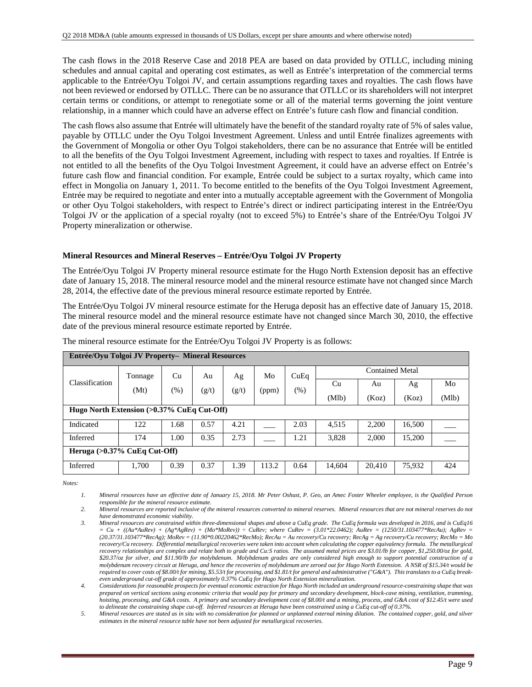The cash flows in the 2018 Reserve Case and 2018 PEA are based on data provided by OTLLC, including mining schedules and annual capital and operating cost estimates, as well as Entrée's interpretation of the commercial terms applicable to the Entrée/Oyu Tolgoi JV, and certain assumptions regarding taxes and royalties. The cash flows have not been reviewed or endorsed by OTLLC. There can be no assurance that OTLLC or its shareholders will not interpret certain terms or conditions, or attempt to renegotiate some or all of the material terms governing the joint venture relationship, in a manner which could have an adverse effect on Entrée's future cash flow and financial condition.

The cash flows also assume that Entrée will ultimately have the benefit of the standard royalty rate of 5% of sales value, payable by OTLLC under the Oyu Tolgoi Investment Agreement. Unless and until Entrée finalizes agreements with the Government of Mongolia or other Oyu Tolgoi stakeholders, there can be no assurance that Entrée will be entitled to all the benefits of the Oyu Tolgoi Investment Agreement, including with respect to taxes and royalties. If Entrée is not entitled to all the benefits of the Oyu Tolgoi Investment Agreement, it could have an adverse effect on Entrée's future cash flow and financial condition. For example, Entrée could be subject to a surtax royalty, which came into effect in Mongolia on January 1, 2011. To become entitled to the benefits of the Oyu Tolgoi Investment Agreement, Entrée may be required to negotiate and enter into a mutually acceptable agreement with the Government of Mongolia or other Oyu Tolgoi stakeholders, with respect to Entrée's direct or indirect participating interest in the Entrée/Oyu Tolgoi JV or the application of a special royalty (not to exceed 5%) to Entrée's share of the Entrée/Oyu Tolgoi JV Property mineralization or otherwise.

### **Mineral Resources and Mineral Reserves – Entrée/Oyu Tolgoi JV Property**

The Entrée/Oyu Tolgoi JV Property mineral resource estimate for the Hugo North Extension deposit has an effective date of January 15, 2018. The mineral resource model and the mineral resource estimate have not changed since March 28, 2014, the effective date of the previous mineral resource estimate reported by Entrée.

The Entrée/Oyu Tolgoi JV mineral resource estimate for the Heruga deposit has an effective date of January 15, 2018. The mineral resource model and the mineral resource estimate have not changed since March 30, 2010, the effective date of the previous mineral resource estimate reported by Entrée.

| Entrée/Oyu Tolgoi JV Property- Mineral Resources |         |      |       |       |       |                                |        |        |        |       |
|--------------------------------------------------|---------|------|-------|-------|-------|--------------------------------|--------|--------|--------|-------|
|                                                  | Tonnage | Cu   | Au    | Ag    | Mo    | <b>Contained Metal</b><br>CuEq |        |        |        |       |
| Classification                                   | (Mt)    | (%)  | (g/t) | (g/t) | (ppm) | $(\%)$                         | Cu     | Au     | Ag     | Mo    |
|                                                  |         |      |       |       |       |                                | (Mlb)  | (Koz)  | (Koz)  | (Mlb) |
| Hugo North Extension (>0.37% CuEq Cut-Off)       |         |      |       |       |       |                                |        |        |        |       |
| Indicated                                        | 122     | 1.68 | 0.57  | 4.21  |       | 2.03                           | 4,515  | 2,200  | 16,500 |       |
| Inferred                                         | 174     | 1.00 | 0.35  | 2.73  |       | 1.21                           | 3,828  | 2,000  | 15,200 |       |
| Heruga $(>0.37\%$ CuEq Cut-Off)                  |         |      |       |       |       |                                |        |        |        |       |
| Inferred                                         | 1,700   | 0.39 | 0.37  | 1.39  | 113.2 | 0.64                           | 14,604 | 20,410 | 75,932 | 424   |

The mineral resource estimate for the Entrée/Oyu Tolgoi JV Property is as follows:

*Notes:* 

*4. Considerations for reasonable prospects for eventual economic extraction for Hugo North included an underground resource-constraining shape that was prepared on vertical sections using economic criteria that would pay for primary and secondary development, block-cave mining, ventilation, tramming, hoisting, processing, and G&A costs. A primary and secondary development cost of \$8.00/t and a mining, process, and G&A cost of \$12.45/t were used to delineate the constraining shape cut-off. Inferred resources at Heruga have been constrained using a CuEq cut-off of 0.37%.*

*5. Mineral resources are stated as in situ with no consideration for planned or unplanned external mining dilution. The contained copper, gold, and silver estimates in the mineral resource table have not been adjusted for metallurgical recoveries.* 

*<sup>1.</sup> Mineral resources have an effective date of January 15, 2018. Mr Peter Oshust, P. Geo, an Amec Foster Wheeler employee, is the Qualified Person responsible for the mineral resource estimate.* 

*<sup>2.</sup> Mineral resources are reported inclusive of the mineral resources converted to mineral reserves. Mineral resources that are not mineral reserves do not have demonstrated economic viability.* 

*<sup>3.</sup> Mineral resources are constrained within three-dimensional shapes and above a CuEq grade. The CuEq formula was developed in 2016, and is CuEq16*   $= Cu + ((Au*AuRev) + (Ag*AgRev) + (Mo*MoRev)) \div CuRev;$  where  $CuRev = (3.01*22.0462);$  AuRev = (1250/31.103477\*RecAu); AgRev = *(20.37/31.103477\*RecAg); MoRev = (11.90\*0.00220462\*RecMo); RecAu = Au recovery/Cu recovery; RecAg = Ag recovery/Cu recovery; RecMo = Mo recovery/Cu recovery. Differential metallurgical recoveries were taken into account when calculating the copper equivalency formula. The metallurgical recovery relationships are complex and relate both to grade and Cu:S ratios. The assumed metal prices are \$3.01/lb for copper, \$1,250.00/oz for gold, \$20.37/oz for silver, and \$11.90/lb for molybdenum. Molybdenum grades are only considered high enough to support potential construction of a molybdenum recovery circuit at Heruga, and hence the recoveries of molybdenum are zeroed out for Hugo North Extension. A NSR of \$15.34/t would be required to cover costs of \$8.00/t for mining, \$5.53/t for processing, and \$1.81/t for general and administrative ("G&A"). This translates to a CuEq breakeven underground cut-off grade of approximately 0.37% CuEq for Hugo North Extension mineralization.*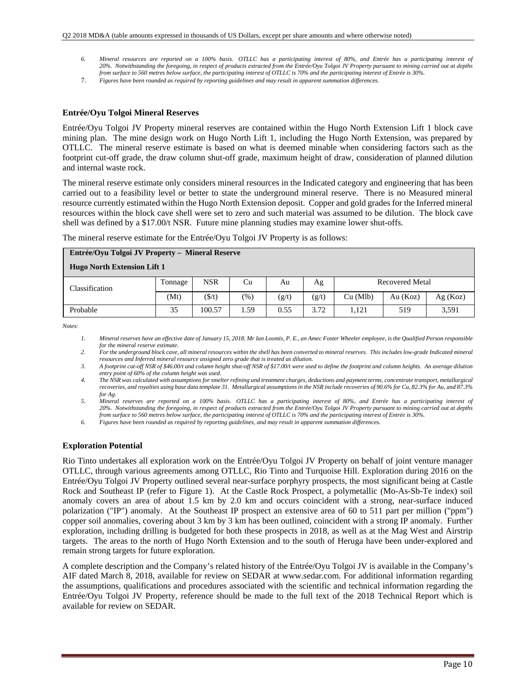- *6. Mineral resources are reported on a 100% basis. OTLLC has a participating interest of 80%, and Entrée has a participating interest of 20%. Notwithstanding the foregoing, in respect of products extracted from the Entrée/Oyu Tolgoi JV Property pursuant to mining carried out at depths from surface to 560 metres below surface, the participating interest of OTLLC is 70% and the participating interest of Entrée is 30%.*
- 7. *Figures have been rounded as required by reporting guidelines and may result in apparent summation differences.*

#### **Entrée/Oyu Tolgoi Mineral Reserves**

Entrée/Oyu Tolgoi JV Property mineral reserves are contained within the Hugo North Extension Lift 1 block cave mining plan. The mine design work on Hugo North Lift 1, including the Hugo North Extension, was prepared by OTLLC. The mineral reserve estimate is based on what is deemed minable when considering factors such as the footprint cut-off grade, the draw column shut-off grade, maximum height of draw, consideration of planned dilution and internal waste rock.

The mineral reserve estimate only considers mineral resources in the Indicated category and engineering that has been carried out to a feasibility level or better to state the underground mineral reserve. There is no Measured mineral resource currently estimated within the Hugo North Extension deposit. Copper and gold grades for the Inferred mineral resources within the block cave shell were set to zero and such material was assumed to be dilution. The block cave shell was defined by a \$17.00/t NSR. Future mine planning studies may examine lower shut-offs.

The mineral reserve estimate for the Entrée/Oyu Tolgoi JV Property is as follows:

| Entrée/Oyu Tolgoi JV Property - Mineral Reserve |         |                 |        |       |       |                 |          |         |  |
|-------------------------------------------------|---------|-----------------|--------|-------|-------|-----------------|----------|---------|--|
| <b>Hugo North Extension Lift 1</b>              |         |                 |        |       |       |                 |          |         |  |
| Classification                                  | Tonnage | <b>NSR</b>      | Cu     | Au    | Ag    | Recovered Metal |          |         |  |
|                                                 | (Mt)    | $(\frac{f}{f})$ | $(\%)$ | (g/t) | (g/t) | Cu (Mlb)        | Au (Koz) | Ag(Koz) |  |
| Probable                                        | 35      | 100.57          | 1.59   | 0.55  | 3.72  | 1.121           | 519      | 3,591   |  |

*Notes:* 

*1. Mineral reserves have an effective date of January 15, 2018. Mr Ian Loomis, P. E., an Amec Foster Wheeler employee, is the Qualified Person responsible for the mineral reserve estimate.* 

*2. For the underground block cave, all mineral resources within the shell has been converted to mineral reserves. This includes low-grade Indicated mineral resources and Inferred mineral resource assigned zero grade that is treated as dilution.* 

*3. A footprint cut-off NSR of \$46.00/t and column height shut-off NSR of \$17.00/t were used to define the footprint and column heights. An average dilution entry point of 60% of the column height was used.* 

*4. The NSR was calculated with assumptions for smelter refining and treatment charges, deductions and payment terms, concentrate transport, metallurgical recoveries, and royalties using base data template 31. Metallurgical assumptions in the NSR include recoveries of 90.6% for Cu, 82.3% for Au, and 87.3% for Ag.* 

*5. Mineral reserves are reported on a 100% basis. OTLLC has a participating interest of 80%, and Entrée has a participating interest of 20%. Notwithstanding the foregoing, in respect of products extracted from the Entrée/Oyu Tolgoi JV Property pursuant to mining carried out at depths from surface to 560 metres below surface, the participating interest of OTLLC is 70% and the participating interest of Entrée is 30%.* 

*6. Figures have been rounded as required by reporting guidelines, and may result in apparent summation differences.* 

#### **Exploration Potential**

Rio Tinto undertakes all exploration work on the Entrée/Oyu Tolgoi JV Property on behalf of joint venture manager OTLLC, through various agreements among OTLLC, Rio Tinto and Turquoise Hill. Exploration during 2016 on the Entrée/Oyu Tolgoi JV Property outlined several near-surface porphyry prospects, the most significant being at Castle Rock and Southeast IP (refer to Figure 1). At the Castle Rock Prospect, a polymetallic (Mo-As-Sb-Te index) soil anomaly covers an area of about 1.5 km by 2.0 km and occurs coincident with a strong, near-surface induced polarization ("IP") anomaly. At the Southeast IP prospect an extensive area of 60 to 511 part per million ("ppm") copper soil anomalies, covering about 3 km by 3 km has been outlined, coincident with a strong IP anomaly. Further exploration, including drilling is budgeted for both these prospects in 2018, as well as at the Mag West and Airstrip targets. The areas to the north of Hugo North Extension and to the south of Heruga have been under-explored and remain strong targets for future exploration.

A complete description and the Company's related history of the Entrée/Oyu Tolgoi JV is available in the Company's AIF dated March 8, 2018, available for review on SEDAR at www.sedar.com. For additional information regarding the assumptions, qualifications and procedures associated with the scientific and technical information regarding the Entrée/Oyu Tolgoi JV Property, reference should be made to the full text of the 2018 Technical Report which is available for review on SEDAR.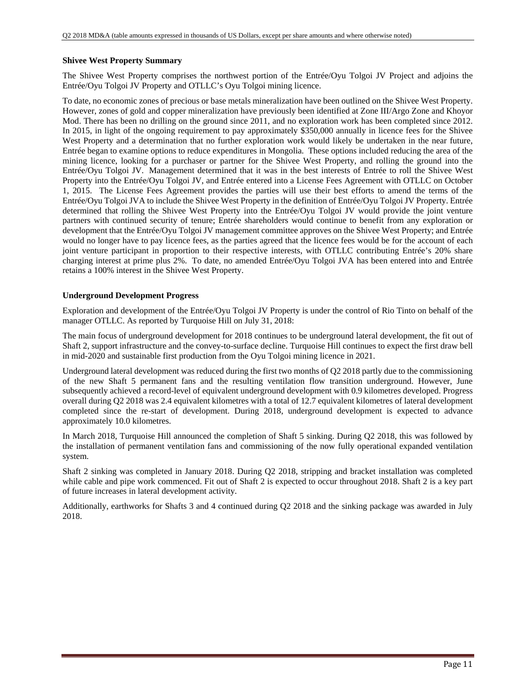### **Shivee West Property Summary**

The Shivee West Property comprises the northwest portion of the Entrée/Oyu Tolgoi JV Project and adjoins the Entrée/Oyu Tolgoi JV Property and OTLLC's Oyu Tolgoi mining licence.

To date, no economic zones of precious or base metals mineralization have been outlined on the Shivee West Property. However, zones of gold and copper mineralization have previously been identified at Zone III/Argo Zone and Khoyor Mod. There has been no drilling on the ground since 2011, and no exploration work has been completed since 2012. In 2015, in light of the ongoing requirement to pay approximately \$350,000 annually in licence fees for the Shivee West Property and a determination that no further exploration work would likely be undertaken in the near future, Entrée began to examine options to reduce expenditures in Mongolia. These options included reducing the area of the mining licence, looking for a purchaser or partner for the Shivee West Property, and rolling the ground into the Entrée/Oyu Tolgoi JV. Management determined that it was in the best interests of Entrée to roll the Shivee West Property into the Entrée/Oyu Tolgoi JV, and Entrée entered into a License Fees Agreement with OTLLC on October 1, 2015. The License Fees Agreement provides the parties will use their best efforts to amend the terms of the Entrée/Oyu Tolgoi JVA to include the Shivee West Property in the definition of Entrée/Oyu Tolgoi JV Property. Entrée determined that rolling the Shivee West Property into the Entrée/Oyu Tolgoi JV would provide the joint venture partners with continued security of tenure; Entrée shareholders would continue to benefit from any exploration or development that the Entrée/Oyu Tolgoi JV management committee approves on the Shivee West Property; and Entrée would no longer have to pay licence fees, as the parties agreed that the licence fees would be for the account of each joint venture participant in proportion to their respective interests, with OTLLC contributing Entrée's 20% share charging interest at prime plus 2%. To date, no amended Entrée/Oyu Tolgoi JVA has been entered into and Entrée retains a 100% interest in the Shivee West Property.

### **Underground Development Progress**

Exploration and development of the Entrée/Oyu Tolgoi JV Property is under the control of Rio Tinto on behalf of the manager OTLLC. As reported by Turquoise Hill on July 31, 2018:

The main focus of underground development for 2018 continues to be underground lateral development, the fit out of Shaft 2, support infrastructure and the convey-to-surface decline. Turquoise Hill continues to expect the first draw bell in mid-2020 and sustainable first production from the Oyu Tolgoi mining licence in 2021.

Underground lateral development was reduced during the first two months of Q2 2018 partly due to the commissioning of the new Shaft 5 permanent fans and the resulting ventilation flow transition underground. However, June subsequently achieved a record-level of equivalent underground development with 0.9 kilometres developed. Progress overall during Q2 2018 was 2.4 equivalent kilometres with a total of 12.7 equivalent kilometres of lateral development completed since the re-start of development. During 2018, underground development is expected to advance approximately 10.0 kilometres.

In March 2018, Turquoise Hill announced the completion of Shaft 5 sinking. During Q2 2018, this was followed by the installation of permanent ventilation fans and commissioning of the now fully operational expanded ventilation system.

Shaft 2 sinking was completed in January 2018. During Q2 2018, stripping and bracket installation was completed while cable and pipe work commenced. Fit out of Shaft 2 is expected to occur throughout 2018. Shaft 2 is a key part of future increases in lateral development activity.

Additionally, earthworks for Shafts 3 and 4 continued during Q2 2018 and the sinking package was awarded in July 2018.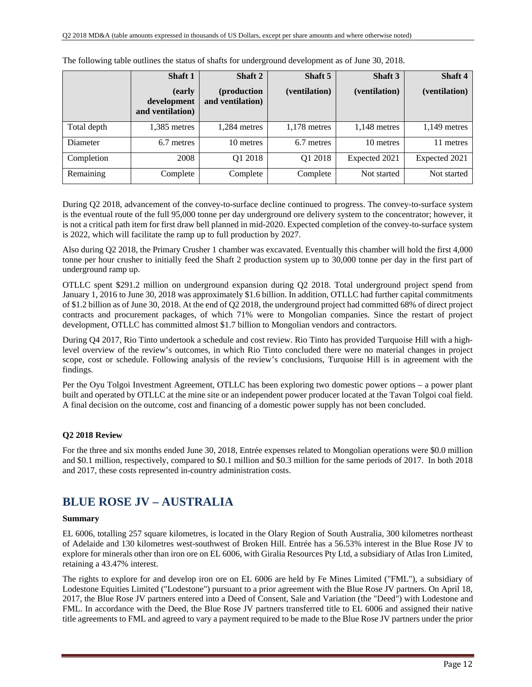|             | <b>Shaft 1</b>                            | Shaft 2                         | Shaft 5        | Shaft 3        | Shaft 4        |
|-------------|-------------------------------------------|---------------------------------|----------------|----------------|----------------|
|             | (early<br>development<br>and ventilation) | (production<br>and ventilation) | (ventilation)  | (ventilation)  | (ventilation)  |
| Total depth | 1,385 metres                              | $1,284$ metres                  | $1,178$ metres | $1,148$ metres | $1,149$ metres |
| Diameter    | 6.7 metres                                | 10 metres                       | 6.7 metres     | 10 metres      | 11 metres      |
| Completion  | 2008                                      | Q1 2018                         | Q1 2018        | Expected 2021  | Expected 2021  |
| Remaining   | Complete                                  | Complete                        | Complete       | Not started    | Not started    |

The following table outlines the status of shafts for underground development as of June 30, 2018.

During Q2 2018, advancement of the convey-to-surface decline continued to progress. The convey-to-surface system is the eventual route of the full 95,000 tonne per day underground ore delivery system to the concentrator; however, it is not a critical path item for first draw bell planned in mid-2020. Expected completion of the convey-to-surface system is 2022, which will facilitate the ramp up to full production by 2027.

Also during Q2 2018, the Primary Crusher 1 chamber was excavated. Eventually this chamber will hold the first 4,000 tonne per hour crusher to initially feed the Shaft 2 production system up to 30,000 tonne per day in the first part of underground ramp up.

OTLLC spent \$291.2 million on underground expansion during Q2 2018. Total underground project spend from January 1, 2016 to June 30, 2018 was approximately \$1.6 billion. In addition, OTLLC had further capital commitments of \$1.2 billion as of June 30, 2018. At the end of Q2 2018, the underground project had committed 68% of direct project contracts and procurement packages, of which 71% were to Mongolian companies. Since the restart of project development, OTLLC has committed almost \$1.7 billion to Mongolian vendors and contractors.

During Q4 2017, Rio Tinto undertook a schedule and cost review. Rio Tinto has provided Turquoise Hill with a highlevel overview of the review's outcomes, in which Rio Tinto concluded there were no material changes in project scope, cost or schedule. Following analysis of the review's conclusions, Turquoise Hill is in agreement with the findings.

Per the Oyu Tolgoi Investment Agreement, OTLLC has been exploring two domestic power options – a power plant built and operated by OTLLC at the mine site or an independent power producer located at the Tavan Tolgoi coal field. A final decision on the outcome, cost and financing of a domestic power supply has not been concluded.

### **Q2 2018 Review**

For the three and six months ended June 30, 2018, Entrée expenses related to Mongolian operations were \$0.0 million and \$0.1 million, respectively, compared to \$0.1 million and \$0.3 million for the same periods of 2017. In both 2018 and 2017, these costs represented in-country administration costs.

## **BLUE ROSE JV – AUSTRALIA**

#### **Summary**

EL 6006, totalling 257 square kilometres, is located in the Olary Region of South Australia, 300 kilometres northeast of Adelaide and 130 kilometres west-southwest of Broken Hill. Entrée has a 56.53% interest in the Blue Rose JV to explore for minerals other than iron ore on EL 6006, with Giralia Resources Pty Ltd, a subsidiary of Atlas Iron Limited, retaining a 43.47% interest.

The rights to explore for and develop iron ore on EL 6006 are held by Fe Mines Limited ("FML"), a subsidiary of Lodestone Equities Limited ("Lodestone") pursuant to a prior agreement with the Blue Rose JV partners. On April 18, 2017, the Blue Rose JV partners entered into a Deed of Consent, Sale and Variation (the "Deed") with Lodestone and FML. In accordance with the Deed, the Blue Rose JV partners transferred title to EL 6006 and assigned their native title agreements to FML and agreed to vary a payment required to be made to the Blue Rose JV partners under the prior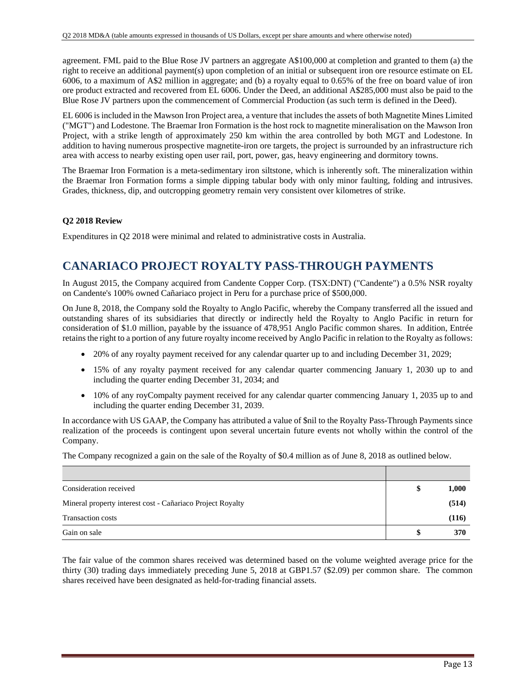agreement. FML paid to the Blue Rose JV partners an aggregate A\$100,000 at completion and granted to them (a) the right to receive an additional payment(s) upon completion of an initial or subsequent iron ore resource estimate on EL 6006, to a maximum of A\$2 million in aggregate; and (b) a royalty equal to 0.65% of the free on board value of iron ore product extracted and recovered from EL 6006. Under the Deed, an additional A\$285,000 must also be paid to the Blue Rose JV partners upon the commencement of Commercial Production (as such term is defined in the Deed).

EL 6006 is included in the Mawson Iron Project area, a venture that includes the assets of both Magnetite Mines Limited ("MGT") and Lodestone. The Braemar Iron Formation is the host rock to magnetite mineralisation on the Mawson Iron Project, with a strike length of approximately 250 km within the area controlled by both MGT and Lodestone. In addition to having numerous prospective magnetite-iron ore targets, the project is surrounded by an infrastructure rich area with access to nearby existing open user rail, port, power, gas, heavy engineering and dormitory towns.

The Braemar Iron Formation is a meta-sedimentary iron siltstone, which is inherently soft. The mineralization within the Braemar Iron Formation forms a simple dipping tabular body with only minor faulting, folding and intrusives. Grades, thickness, dip, and outcropping geometry remain very consistent over kilometres of strike.

### **Q2 2018 Review**

Expenditures in Q2 2018 were minimal and related to administrative costs in Australia.

# **CANARIACO PROJECT ROYALTY PASS-THROUGH PAYMENTS**

In August 2015, the Company acquired from Candente Copper Corp. (TSX:DNT) ("Candente") a 0.5% NSR royalty on Candente's 100% owned Cañariaco project in Peru for a purchase price of \$500,000.

On June 8, 2018, the Company sold the Royalty to Anglo Pacific, whereby the Company transferred all the issued and outstanding shares of its subsidiaries that directly or indirectly held the Royalty to Anglo Pacific in return for consideration of \$1.0 million, payable by the issuance of 478,951 Anglo Pacific common shares. In addition, Entrée retains the right to a portion of any future royalty income received by Anglo Pacific in relation to the Royalty as follows:

- 20% of any royalty payment received for any calendar quarter up to and including December 31, 2029;
- 15% of any royalty payment received for any calendar quarter commencing January 1, 2030 up to and including the quarter ending December 31, 2034; and
- 10% of any royCompalty payment received for any calendar quarter commencing January 1, 2035 up to and including the quarter ending December 31, 2039.

In accordance with US GAAP, the Company has attributed a value of \$nil to the Royalty Pass-Through Payments since realization of the proceeds is contingent upon several uncertain future events not wholly within the control of the Company.

The Company recognized a gain on the sale of the Royalty of \$0.4 million as of June 8, 2018 as outlined below.

| Consideration received                                     | 1,000 |
|------------------------------------------------------------|-------|
| Mineral property interest cost - Cañariaco Project Royalty | (514) |
| <b>Transaction costs</b>                                   | (116) |
| Gain on sale                                               | 370   |

The fair value of the common shares received was determined based on the volume weighted average price for the thirty (30) trading days immediately preceding June 5, 2018 at GBP1.57 (\$2.09) per common share. The common shares received have been designated as held-for-trading financial assets.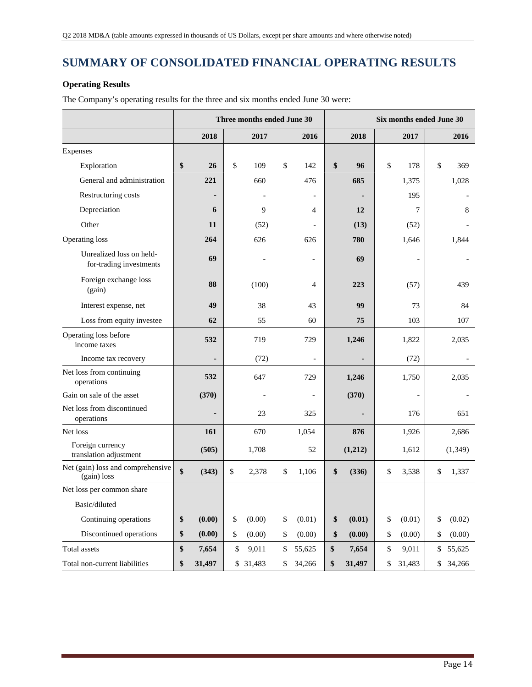# **SUMMARY OF CONSOLIDATED FINANCIAL OPERATING RESULTS**

### **Operating Results**

The Company's operating results for the three and six months ended June 30 were:

|                                                     | Three months ended June 30 |        |    |        |    |                | Six months ended June 30 |    |                |    |          |
|-----------------------------------------------------|----------------------------|--------|----|--------|----|----------------|--------------------------|----|----------------|----|----------|
|                                                     |                            | 2018   |    | 2017   |    | 2016           | 2018                     |    | 2017           |    | 2016     |
| Expenses                                            |                            |        |    |        |    |                |                          |    |                |    |          |
| Exploration                                         | \$                         | 26     | \$ | 109    | \$ | 142            | \$<br>96                 | \$ | 178            | \$ | 369      |
| General and administration                          |                            | 221    |    | 660    |    | 476            | 685                      |    | 1,375          |    | 1,028    |
| Restructuring costs                                 |                            |        |    |        |    |                |                          |    | 195            |    |          |
| Depreciation                                        |                            | 6      |    | 9      |    | 4              | 12                       |    | 7              |    | 8        |
| Other                                               |                            | 11     |    | (52)   |    |                | (13)                     |    | (52)           |    |          |
| Operating loss                                      |                            | 264    |    | 626    |    | 626            | 780                      |    | 1,646          |    | 1,844    |
| Unrealized loss on held-<br>for-trading investments |                            | 69     |    |        |    | $\overline{a}$ | 69                       |    | $\overline{a}$ |    |          |
| Foreign exchange loss<br>(gain)                     |                            | 88     |    | (100)  |    | 4              | 223                      |    | (57)           |    | 439      |
| Interest expense, net                               |                            | 49     |    | 38     |    | 43             | 99                       |    | 73             |    | 84       |
| Loss from equity investee                           |                            | 62     |    | 55     |    | 60             | 75                       |    | 103            |    | 107      |
| Operating loss before<br>income taxes               |                            | 532    |    | 719    |    | 729            | 1,246                    |    | 1,822          |    | 2,035    |
| Income tax recovery                                 |                            |        |    | (72)   |    |                |                          |    | (72)           |    |          |
| Net loss from continuing<br>operations              |                            | 532    |    | 647    |    | 729            | 1,246                    |    | 1,750          |    | 2,035    |
| Gain on sale of the asset                           |                            | (370)  |    |        |    |                | (370)                    |    |                |    |          |
| Net loss from discontinued<br>operations            |                            |        |    | 23     |    | 325            |                          |    | 176            |    | 651      |
| Net loss                                            |                            | 161    |    | 670    |    | 1,054          | 876                      |    | 1,926          |    | 2,686    |
| Foreign currency<br>translation adjustment          |                            | (505)  |    | 1,708  |    | 52             | (1,212)                  |    | 1,612          |    | (1, 349) |
| Net (gain) loss and comprehensive<br>(gain) loss    | \$                         | (343)  | \$ | 2,378  | \$ | 1,106          | \$<br>(336)              | \$ | 3,538          | \$ | 1,337    |
| Net loss per common share                           |                            |        |    |        |    |                |                          |    |                |    |          |
| Basic/diluted                                       |                            |        |    |        |    |                |                          |    |                |    |          |
| Continuing operations                               | \$                         | (0.00) | \$ | (0.00) | \$ | (0.01)         | \$<br>(0.01)             | \$ | (0.01)         | \$ | (0.02)   |
| Discontinued operations                             | \$                         | (0.00) | \$ | (0.00) | \$ | (0.00)         | \$<br>(0.00)             | \$ | (0.00)         | \$ | (0.00)   |
| Total assets                                        | \$                         | 7,654  | \$ | 9,011  | \$ | 55,625         | \$<br>7,654              | \$ | 9,011          | \$ | 55,625   |
| Total non-current liabilities                       | \$                         | 31,497 | \$ | 31,483 | \$ | 34,266         | \$<br>31,497             | \$ | 31,483         | \$ | 34,266   |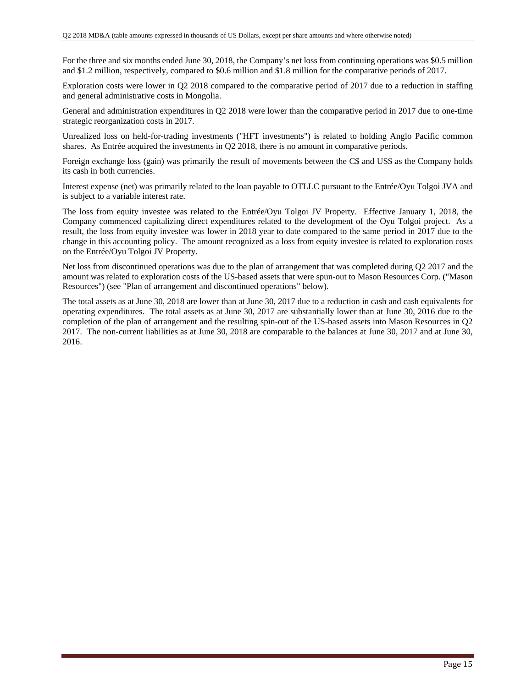For the three and six months ended June 30, 2018, the Company's net loss from continuing operations was \$0.5 million and \$1.2 million, respectively, compared to \$0.6 million and \$1.8 million for the comparative periods of 2017.

Exploration costs were lower in Q2 2018 compared to the comparative period of 2017 due to a reduction in staffing and general administrative costs in Mongolia.

General and administration expenditures in Q2 2018 were lower than the comparative period in 2017 due to one-time strategic reorganization costs in 2017.

Unrealized loss on held-for-trading investments ("HFT investments") is related to holding Anglo Pacific common shares. As Entrée acquired the investments in Q2 2018, there is no amount in comparative periods.

Foreign exchange loss (gain) was primarily the result of movements between the C\$ and US\$ as the Company holds its cash in both currencies.

Interest expense (net) was primarily related to the loan payable to OTLLC pursuant to the Entrée/Oyu Tolgoi JVA and is subject to a variable interest rate.

The loss from equity investee was related to the Entrée/Oyu Tolgoi JV Property. Effective January 1, 2018, the Company commenced capitalizing direct expenditures related to the development of the Oyu Tolgoi project. As a result, the loss from equity investee was lower in 2018 year to date compared to the same period in 2017 due to the change in this accounting policy. The amount recognized as a loss from equity investee is related to exploration costs on the Entrée/Oyu Tolgoi JV Property.

Net loss from discontinued operations was due to the plan of arrangement that was completed during Q2 2017 and the amount was related to exploration costs of the US-based assets that were spun-out to Mason Resources Corp. ("Mason Resources") (see "Plan of arrangement and discontinued operations" below).

The total assets as at June 30, 2018 are lower than at June 30, 2017 due to a reduction in cash and cash equivalents for operating expenditures. The total assets as at June 30, 2017 are substantially lower than at June 30, 2016 due to the completion of the plan of arrangement and the resulting spin-out of the US-based assets into Mason Resources in Q2 2017. The non-current liabilities as at June 30, 2018 are comparable to the balances at June 30, 2017 and at June 30, 2016.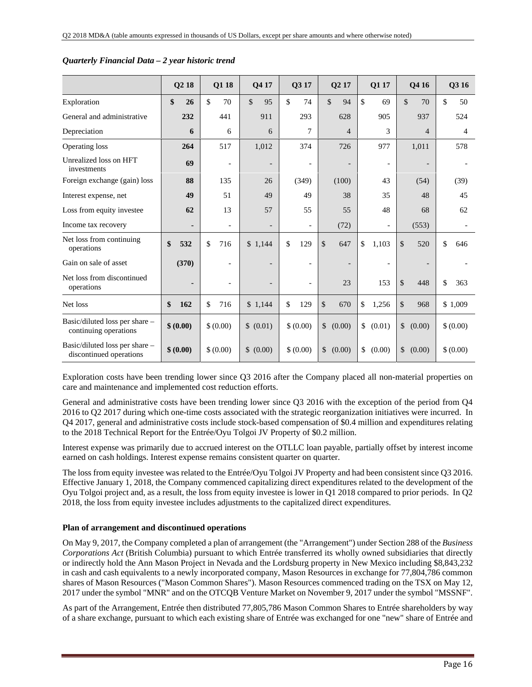|                                                           | Q <sub>2</sub> 18 | Q1 18                    | Q4 17                    | Q3 17                    | Q <sub>2</sub> 17    | Q1 17                    | Q4 16                    | Q3 16     |
|-----------------------------------------------------------|-------------------|--------------------------|--------------------------|--------------------------|----------------------|--------------------------|--------------------------|-----------|
| Exploration                                               | \$<br>26          | \$<br>70                 | $\mathbb{S}$<br>95       | \$<br>74                 | $\mathcal{S}$<br>94  | \$<br>69                 | $\mathcal{S}$<br>70      | \$<br>50  |
| General and administrative                                | 232               | 441                      | 911                      | 293                      | 628                  | 905                      | 937                      | 524       |
| Depreciation                                              | 6                 | 6                        | 6                        | 7                        | $\overline{4}$       | 3                        | $\overline{4}$           | 4         |
| Operating loss                                            | 264               | 517                      | 1,012                    | 374                      | 726                  | 977                      | 1,011                    | 578       |
| Unrealized loss on HFT<br>investments                     | 69                | $\overline{\phantom{a}}$ |                          | $\overline{a}$           |                      | $\overline{\phantom{a}}$ | $\overline{\phantom{a}}$ |           |
| Foreign exchange (gain) loss                              | 88                | 135                      | 26                       | (349)                    | (100)                | 43                       | (54)                     | (39)      |
| Interest expense, net                                     | 49                | 51                       | 49                       | 49                       | 38                   | 35                       | 48                       | 45        |
| Loss from equity investee                                 | 62                | 13                       | 57                       | 55                       | 55                   | 48                       | 68                       | 62        |
| Income tax recovery                                       | $\blacksquare$    | $\overline{\phantom{a}}$ | $\overline{\phantom{a}}$ | $\overline{\phantom{0}}$ | (72)                 | $\overline{\phantom{a}}$ | (553)                    |           |
| Net loss from continuing<br>operations                    | \$<br>532         | $\mathbb{S}$<br>716      | \$1,144                  | \$<br>129                | \$<br>647            | \$<br>1,103              | \$<br>520                | \$<br>646 |
| Gain on sale of asset                                     | (370)             | $\overline{\phantom{a}}$ |                          |                          |                      | $\overline{\phantom{a}}$ | $\overline{\phantom{a}}$ |           |
| Net loss from discontinued<br>operations                  | $\blacksquare$    | $\overline{\phantom{a}}$ |                          |                          | 23                   | 153                      | \$<br>448                | \$<br>363 |
| Net loss                                                  | \$<br>162         | \$<br>716                | \$1,144                  | \$<br>129                | $\mathcal{S}$<br>670 | \$<br>1,256              | \$<br>968                | \$1,009   |
| Basic/diluted loss per share -<br>continuing operations   | \$ (0.00)         | \$ (0.00)                | (0.01)<br>$\mathbb{S}$   | \$ (0.00)                | \$<br>(0.00)         | \$<br>(0.01)             | \$<br>(0.00)             | \$ (0.00) |
| Basic/diluted loss per share -<br>discontinued operations | \$ (0.00)         | \$ (0.00)                | \$<br>(0.00)             | \$ (0.00)                | \$<br>(0.00)         | \$<br>(0.00)             | \$<br>(0.00)             | \$ (0.00) |

#### *Quarterly Financial Data – 2 year historic trend*

Exploration costs have been trending lower since Q3 2016 after the Company placed all non-material properties on care and maintenance and implemented cost reduction efforts.

General and administrative costs have been trending lower since Q3 2016 with the exception of the period from Q4 2016 to Q2 2017 during which one-time costs associated with the strategic reorganization initiatives were incurred. In Q4 2017, general and administrative costs include stock-based compensation of \$0.4 million and expenditures relating to the 2018 Technical Report for the Entrée/Oyu Tolgoi JV Property of \$0.2 million.

Interest expense was primarily due to accrued interest on the OTLLC loan payable, partially offset by interest income earned on cash holdings. Interest expense remains consistent quarter on quarter.

The loss from equity investee was related to the Entrée/Oyu Tolgoi JV Property and had been consistent since Q3 2016. Effective January 1, 2018, the Company commenced capitalizing direct expenditures related to the development of the Oyu Tolgoi project and, as a result, the loss from equity investee is lower in Q1 2018 compared to prior periods. In Q2 2018, the loss from equity investee includes adjustments to the capitalized direct expenditures.

#### **Plan of arrangement and discontinued operations**

On May 9, 2017, the Company completed a plan of arrangement (the "Arrangement") under Section 288 of the *Business Corporations Act* (British Columbia) pursuant to which Entrée transferred its wholly owned subsidiaries that directly or indirectly hold the Ann Mason Project in Nevada and the Lordsburg property in New Mexico including \$8,843,232 in cash and cash equivalents to a newly incorporated company, Mason Resources in exchange for 77,804,786 common shares of Mason Resources ("Mason Common Shares"). Mason Resources commenced trading on the TSX on May 12, 2017 under the symbol "MNR" and on the OTCQB Venture Market on November 9, 2017 under the symbol "MSSNF".

As part of the Arrangement, Entrée then distributed 77,805,786 Mason Common Shares to Entrée shareholders by way of a share exchange, pursuant to which each existing share of Entrée was exchanged for one "new" share of Entrée and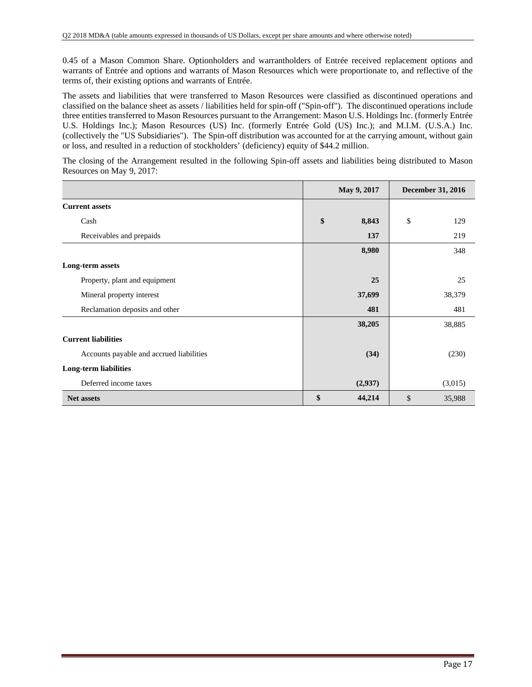0.45 of a Mason Common Share. Optionholders and warrantholders of Entrée received replacement options and warrants of Entrée and options and warrants of Mason Resources which were proportionate to, and reflective of the terms of, their existing options and warrants of Entrée.

The assets and liabilities that were transferred to Mason Resources were classified as discontinued operations and classified on the balance sheet as assets / liabilities held for spin-off ("Spin-off"). The discontinued operations include three entities transferred to Mason Resources pursuant to the Arrangement: Mason U.S. Holdings Inc. (formerly Entrée U.S. Holdings Inc.); Mason Resources (US) Inc. (formerly Entrée Gold (US) Inc.); and M.I.M. (U.S.A.) Inc. (collectively the "US Subsidiaries"). The Spin-off distribution was accounted for at the carrying amount, without gain or loss, and resulted in a reduction of stockholders' (deficiency) equity of \$44.2 million.

The closing of the Arrangement resulted in the following Spin-off assets and liabilities being distributed to Mason Resources on May 9, 2017:

|                                          | May 9, 2017  | December 31, 2016 |         |  |
|------------------------------------------|--------------|-------------------|---------|--|
| <b>Current assets</b>                    |              |                   |         |  |
| Cash                                     | \$<br>8,843  | \$                | 129     |  |
| Receivables and prepaids                 | 137          |                   | 219     |  |
|                                          | 8,980        |                   | 348     |  |
| Long-term assets                         |              |                   |         |  |
| Property, plant and equipment            | 25           |                   | 25      |  |
| Mineral property interest                | 37,699       |                   | 38,379  |  |
| Reclamation deposits and other           | 481          |                   | 481     |  |
|                                          | 38,205       |                   | 38,885  |  |
| <b>Current liabilities</b>               |              |                   |         |  |
| Accounts payable and accrued liabilities | (34)         |                   | (230)   |  |
| Long-term liabilities                    |              |                   |         |  |
| Deferred income taxes                    | (2,937)      |                   | (3,015) |  |
| <b>Net assets</b>                        | \$<br>44,214 | $\mathcal{S}$     | 35,988  |  |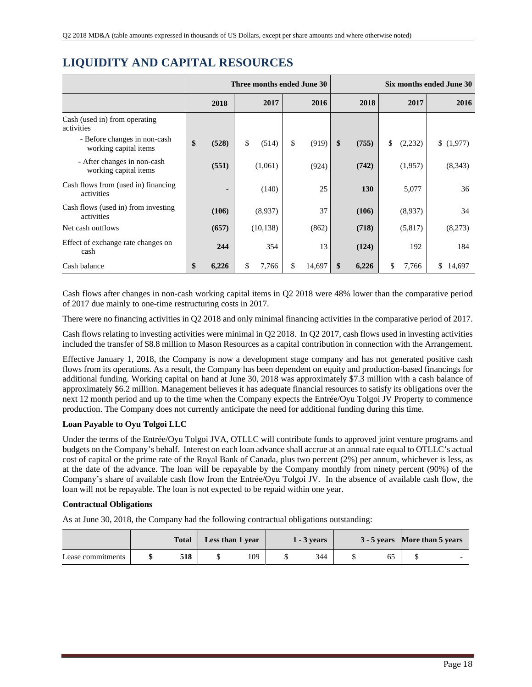|                                                       | Three months ended June 30 |       |    |           |    |        | Six months ended June 30 |       |    |         |              |
|-------------------------------------------------------|----------------------------|-------|----|-----------|----|--------|--------------------------|-------|----|---------|--------------|
|                                                       |                            | 2018  |    | 2017      |    | 2016   |                          | 2018  |    | 2017    | 2016         |
| Cash (used in) from operating<br>activities           |                            |       |    |           |    |        |                          |       |    |         |              |
| - Before changes in non-cash<br>working capital items | \$                         | (528) | \$ | (514)     | \$ | (919)  | $\boldsymbol{\$}$        | (755) | \$ | (2,232) | \$(1,977)    |
| - After changes in non-cash<br>working capital items  |                            | (551) |    | (1,061)   |    | (924)  |                          | (742) |    | (1,957) | (8,343)      |
| Cash flows from (used in) financing<br>activities     |                            |       |    | (140)     |    | 25     |                          | 130   |    | 5,077   | 36           |
| Cash flows (used in) from investing<br>activities     |                            | (106) |    | (8,937)   |    | 37     |                          | (106) |    | (8,937) | 34           |
| Net cash outflows                                     |                            | (657) |    | (10, 138) |    | (862)  |                          | (718) |    | (5,817) | (8,273)      |
| Effect of exchange rate changes on<br>cash            |                            | 244   |    | 354       |    | 13     |                          | (124) |    | 192     | 184          |
| Cash balance                                          | \$                         | 6,226 | \$ | 7,766     | \$ | 14,697 | \$                       | 6,226 | \$ | 7,766   | \$<br>14,697 |

# **LIQUIDITY AND CAPITAL RESOURCES**

Cash flows after changes in non-cash working capital items in Q2 2018 were 48% lower than the comparative period of 2017 due mainly to one-time restructuring costs in 2017.

There were no financing activities in Q2 2018 and only minimal financing activities in the comparative period of 2017.

Cash flows relating to investing activities were minimal in Q2 2018. In Q2 2017, cash flows used in investing activities included the transfer of \$8.8 million to Mason Resources as a capital contribution in connection with the Arrangement.

Effective January 1, 2018, the Company is now a development stage company and has not generated positive cash flows from its operations. As a result, the Company has been dependent on equity and production-based financings for additional funding. Working capital on hand at June 30, 2018 was approximately \$7.3 million with a cash balance of approximately \$6.2 million. Management believes it has adequate financial resources to satisfy its obligations over the next 12 month period and up to the time when the Company expects the Entrée/Oyu Tolgoi JV Property to commence production. The Company does not currently anticipate the need for additional funding during this time.

### **Loan Payable to Oyu Tolgoi LLC**

Under the terms of the Entrée/Oyu Tolgoi JVA, OTLLC will contribute funds to approved joint venture programs and budgets on the Company's behalf. Interest on each loan advance shall accrue at an annual rate equal to OTLLC's actual cost of capital or the prime rate of the Royal Bank of Canada, plus two percent (2%) per annum, whichever is less, as at the date of the advance. The loan will be repayable by the Company monthly from ninety percent (90%) of the Company's share of available cash flow from the Entrée/Oyu Tolgoi JV. In the absence of available cash flow, the loan will not be repayable. The loan is not expected to be repaid within one year.

### **Contractual Obligations**

As at June 30, 2018, the Company had the following contractual obligations outstanding:

|                   | <b>Total</b> | Less than 1 year |     | $1 - 3$ years |     |  |  | 3 - 5 years More than 5 years |  |
|-------------------|--------------|------------------|-----|---------------|-----|--|--|-------------------------------|--|
| Lease commitments | 518          |                  | 109 |               | 344 |  |  |                               |  |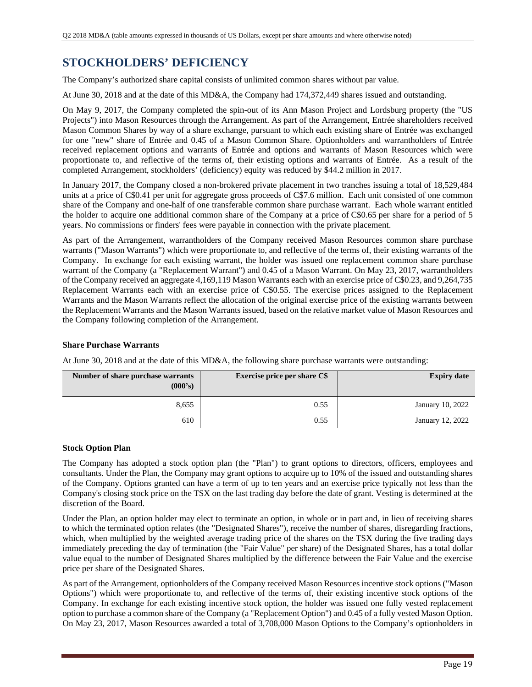# **STOCKHOLDERS' DEFICIENCY**

The Company's authorized share capital consists of unlimited common shares without par value.

At June 30, 2018 and at the date of this MD&A, the Company had 174,372,449 shares issued and outstanding.

On May 9, 2017, the Company completed the spin-out of its Ann Mason Project and Lordsburg property (the "US Projects") into Mason Resources through the Arrangement. As part of the Arrangement, Entrée shareholders received Mason Common Shares by way of a share exchange, pursuant to which each existing share of Entrée was exchanged for one "new" share of Entrée and 0.45 of a Mason Common Share. Optionholders and warrantholders of Entrée received replacement options and warrants of Entrée and options and warrants of Mason Resources which were proportionate to, and reflective of the terms of, their existing options and warrants of Entrée. As a result of the completed Arrangement, stockholders' (deficiency) equity was reduced by \$44.2 million in 2017.

In January 2017, the Company closed a non-brokered private placement in two tranches issuing a total of 18,529,484 units at a price of C\$0.41 per unit for aggregate gross proceeds of C\$7.6 million. Each unit consisted of one common share of the Company and one-half of one transferable common share purchase warrant. Each whole warrant entitled the holder to acquire one additional common share of the Company at a price of C\$0.65 per share for a period of 5 years. No commissions or finders' fees were payable in connection with the private placement.

As part of the Arrangement, warrantholders of the Company received Mason Resources common share purchase warrants ("Mason Warrants") which were proportionate to, and reflective of the terms of, their existing warrants of the Company. In exchange for each existing warrant, the holder was issued one replacement common share purchase warrant of the Company (a "Replacement Warrant") and 0.45 of a Mason Warrant. On May 23, 2017, warrantholders of the Company received an aggregate 4,169,119 Mason Warrants each with an exercise price of C\$0.23, and 9,264,735 Replacement Warrants each with an exercise price of C\$0.55. The exercise prices assigned to the Replacement Warrants and the Mason Warrants reflect the allocation of the original exercise price of the existing warrants between the Replacement Warrants and the Mason Warrants issued, based on the relative market value of Mason Resources and the Company following completion of the Arrangement.

### **Share Purchase Warrants**

At June 30, 2018 and at the date of this MD&A, the following share purchase warrants were outstanding:

| Number of share purchase warrants<br>(000's) | <b>Exercise price per share C\$</b> | <b>Expiry date</b> |
|----------------------------------------------|-------------------------------------|--------------------|
| 8,655                                        | 0.55                                | January 10, 2022   |
| 610                                          | 0.55                                | January 12, 2022   |

### **Stock Option Plan**

The Company has adopted a stock option plan (the "Plan") to grant options to directors, officers, employees and consultants. Under the Plan, the Company may grant options to acquire up to 10% of the issued and outstanding shares of the Company. Options granted can have a term of up to ten years and an exercise price typically not less than the Company's closing stock price on the TSX on the last trading day before the date of grant. Vesting is determined at the discretion of the Board.

Under the Plan, an option holder may elect to terminate an option, in whole or in part and, in lieu of receiving shares to which the terminated option relates (the "Designated Shares"), receive the number of shares, disregarding fractions, which, when multiplied by the weighted average trading price of the shares on the TSX during the five trading days immediately preceding the day of termination (the "Fair Value" per share) of the Designated Shares, has a total dollar value equal to the number of Designated Shares multiplied by the difference between the Fair Value and the exercise price per share of the Designated Shares.

As part of the Arrangement, optionholders of the Company received Mason Resources incentive stock options ("Mason Options") which were proportionate to, and reflective of the terms of, their existing incentive stock options of the Company. In exchange for each existing incentive stock option, the holder was issued one fully vested replacement option to purchase a common share of the Company (a "Replacement Option") and 0.45 of a fully vested Mason Option. On May 23, 2017, Mason Resources awarded a total of 3,708,000 Mason Options to the Company's optionholders in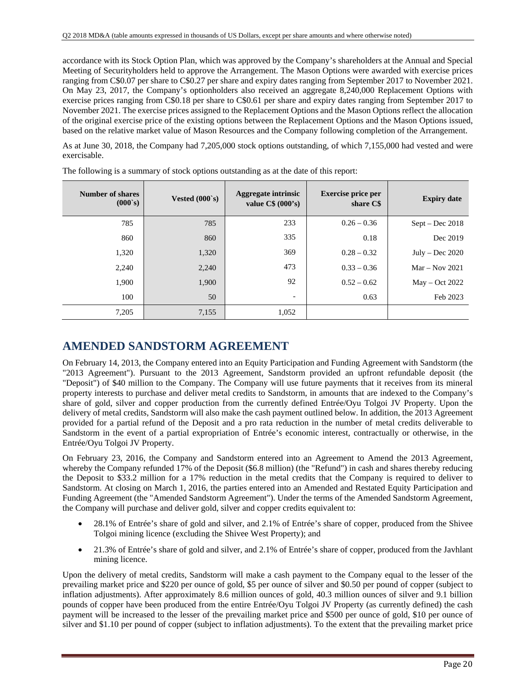accordance with its Stock Option Plan, which was approved by the Company's shareholders at the Annual and Special Meeting of Securityholders held to approve the Arrangement. The Mason Options were awarded with exercise prices ranging from C\$0.07 per share to C\$0.27 per share and expiry dates ranging from September 2017 to November 2021. On May 23, 2017, the Company's optionholders also received an aggregate 8,240,000 Replacement Options with exercise prices ranging from C\$0.18 per share to C\$0.61 per share and expiry dates ranging from September 2017 to November 2021. The exercise prices assigned to the Replacement Options and the Mason Options reflect the allocation of the original exercise price of the existing options between the Replacement Options and the Mason Options issued, based on the relative market value of Mason Resources and the Company following completion of the Arrangement.

As at June 30, 2018, the Company had 7,205,000 stock options outstanding, of which 7,155,000 had vested and were exercisable.

| Number of shares<br>(000s) | Vested $(000's)$ | <b>Aggregate intrinsic</b><br>value $C\$ (000's) | <b>Exercise price per</b><br>share C\$ | <b>Expiry date</b> |
|----------------------------|------------------|--------------------------------------------------|----------------------------------------|--------------------|
| 785                        | 785              | 233                                              | $0.26 - 0.36$                          | $Sept - Dec 2018$  |
| 860                        | 860              | 335                                              | 0.18                                   | Dec 2019           |
| 1,320                      | 1,320            | 369                                              | $0.28 - 0.32$                          | $July - Dec 2020$  |
| 2,240                      | 2,240            | 473                                              | $0.33 - 0.36$                          | $Mar - Nov 2021$   |
| 1,900                      | 1,900            | 92                                               | $0.52 - 0.62$                          | $May - Oct 2022$   |
| 100                        | 50               | $\overline{\phantom{a}}$                         | 0.63                                   | Feb 2023           |
| 7,205                      | 7,155            | 1,052                                            |                                        |                    |

The following is a summary of stock options outstanding as at the date of this report:

## **AMENDED SANDSTORM AGREEMENT**

On February 14, 2013, the Company entered into an Equity Participation and Funding Agreement with Sandstorm (the "2013 Agreement"). Pursuant to the 2013 Agreement, Sandstorm provided an upfront refundable deposit (the "Deposit") of \$40 million to the Company. The Company will use future payments that it receives from its mineral property interests to purchase and deliver metal credits to Sandstorm, in amounts that are indexed to the Company's share of gold, silver and copper production from the currently defined Entrée/Oyu Tolgoi JV Property. Upon the delivery of metal credits, Sandstorm will also make the cash payment outlined below. In addition, the 2013 Agreement provided for a partial refund of the Deposit and a pro rata reduction in the number of metal credits deliverable to Sandstorm in the event of a partial expropriation of Entrée's economic interest, contractually or otherwise, in the Entrée/Oyu Tolgoi JV Property.

On February 23, 2016, the Company and Sandstorm entered into an Agreement to Amend the 2013 Agreement, whereby the Company refunded 17% of the Deposit (\$6.8 million) (the "Refund") in cash and shares thereby reducing the Deposit to \$33.2 million for a 17% reduction in the metal credits that the Company is required to deliver to Sandstorm. At closing on March 1, 2016, the parties entered into an Amended and Restated Equity Participation and Funding Agreement (the "Amended Sandstorm Agreement"). Under the terms of the Amended Sandstorm Agreement, the Company will purchase and deliver gold, silver and copper credits equivalent to:

- 28.1% of Entrée's share of gold and silver, and 2.1% of Entrée's share of copper, produced from the Shivee Tolgoi mining licence (excluding the Shivee West Property); and
- 21.3% of Entrée's share of gold and silver, and 2.1% of Entrée's share of copper, produced from the Javhlant mining licence.

Upon the delivery of metal credits, Sandstorm will make a cash payment to the Company equal to the lesser of the prevailing market price and \$220 per ounce of gold, \$5 per ounce of silver and \$0.50 per pound of copper (subject to inflation adjustments). After approximately 8.6 million ounces of gold, 40.3 million ounces of silver and 9.1 billion pounds of copper have been produced from the entire Entrée/Oyu Tolgoi JV Property (as currently defined) the cash payment will be increased to the lesser of the prevailing market price and \$500 per ounce of gold, \$10 per ounce of silver and \$1.10 per pound of copper (subject to inflation adjustments). To the extent that the prevailing market price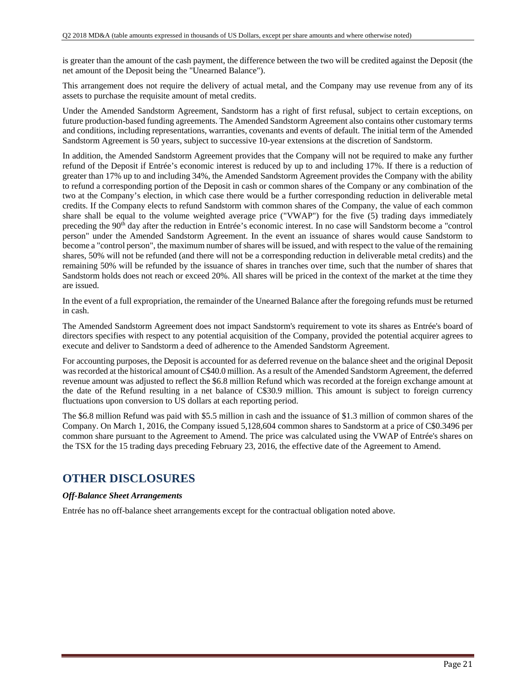is greater than the amount of the cash payment, the difference between the two will be credited against the Deposit (the net amount of the Deposit being the "Unearned Balance").

This arrangement does not require the delivery of actual metal, and the Company may use revenue from any of its assets to purchase the requisite amount of metal credits.

Under the Amended Sandstorm Agreement, Sandstorm has a right of first refusal, subject to certain exceptions, on future production-based funding agreements. The Amended Sandstorm Agreement also contains other customary terms and conditions, including representations, warranties, covenants and events of default. The initial term of the Amended Sandstorm Agreement is 50 years, subject to successive 10-year extensions at the discretion of Sandstorm.

In addition, the Amended Sandstorm Agreement provides that the Company will not be required to make any further refund of the Deposit if Entrée's economic interest is reduced by up to and including 17%. If there is a reduction of greater than 17% up to and including 34%, the Amended Sandstorm Agreement provides the Company with the ability to refund a corresponding portion of the Deposit in cash or common shares of the Company or any combination of the two at the Company's election, in which case there would be a further corresponding reduction in deliverable metal credits. If the Company elects to refund Sandstorm with common shares of the Company, the value of each common share shall be equal to the volume weighted average price ("VWAP") for the five (5) trading days immediately preceding the 90<sup>th</sup> day after the reduction in Entrée's economic interest. In no case will Sandstorm become a "control" person" under the Amended Sandstorm Agreement. In the event an issuance of shares would cause Sandstorm to become a "control person", the maximum number of shares will be issued, and with respect to the value of the remaining shares, 50% will not be refunded (and there will not be a corresponding reduction in deliverable metal credits) and the remaining 50% will be refunded by the issuance of shares in tranches over time, such that the number of shares that Sandstorm holds does not reach or exceed 20%. All shares will be priced in the context of the market at the time they are issued.

In the event of a full expropriation, the remainder of the Unearned Balance after the foregoing refunds must be returned in cash.

The Amended Sandstorm Agreement does not impact Sandstorm's requirement to vote its shares as Entrée's board of directors specifies with respect to any potential acquisition of the Company, provided the potential acquirer agrees to execute and deliver to Sandstorm a deed of adherence to the Amended Sandstorm Agreement.

For accounting purposes, the Deposit is accounted for as deferred revenue on the balance sheet and the original Deposit was recorded at the historical amount of C\$40.0 million. As a result of the Amended Sandstorm Agreement, the deferred revenue amount was adjusted to reflect the \$6.8 million Refund which was recorded at the foreign exchange amount at the date of the Refund resulting in a net balance of C\$30.9 million. This amount is subject to foreign currency fluctuations upon conversion to US dollars at each reporting period.

The \$6.8 million Refund was paid with \$5.5 million in cash and the issuance of \$1.3 million of common shares of the Company. On March 1, 2016, the Company issued 5,128,604 common shares to Sandstorm at a price of C\$0.3496 per common share pursuant to the Agreement to Amend. The price was calculated using the VWAP of Entrée's shares on the TSX for the 15 trading days preceding February 23, 2016, the effective date of the Agreement to Amend.

## **OTHER DISCLOSURES**

### *Off-Balance Sheet Arrangements*

Entrée has no off-balance sheet arrangements except for the contractual obligation noted above.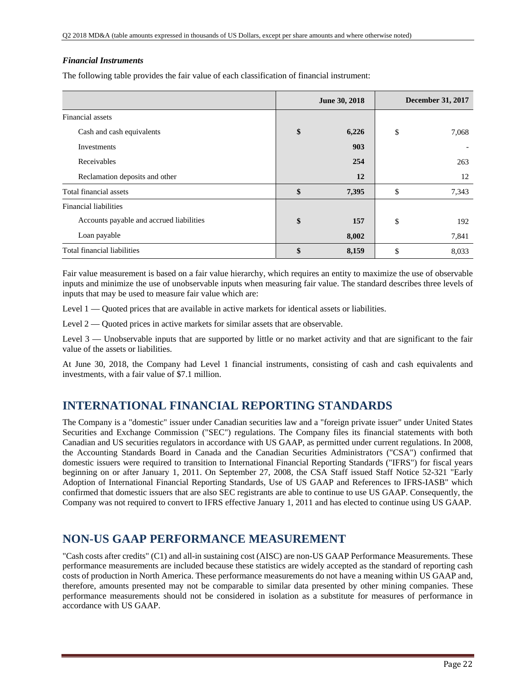### *Financial Instruments*

The following table provides the fair value of each classification of financial instrument:

|                                          | June 30, 2018 |       | <b>December 31, 2017</b> |       |
|------------------------------------------|---------------|-------|--------------------------|-------|
| Financial assets                         |               |       |                          |       |
| Cash and cash equivalents                |               | 6,226 | \$                       | 7,068 |
| Investments                              |               | 903   |                          |       |
| Receivables                              |               | 254   |                          | 263   |
| Reclamation deposits and other           |               | 12    |                          | 12    |
| Total financial assets                   | \$            | 7,395 | \$                       | 7,343 |
| Financial liabilities                    |               |       |                          |       |
| Accounts payable and accrued liabilities |               | 157   | \$                       | 192   |
| Loan payable                             |               | 8,002 |                          | 7,841 |
| Total financial liabilities              |               | 8,159 | \$                       | 8,033 |

Fair value measurement is based on a fair value hierarchy, which requires an entity to maximize the use of observable inputs and minimize the use of unobservable inputs when measuring fair value. The standard describes three levels of inputs that may be used to measure fair value which are:

Level 1 — Quoted prices that are available in active markets for identical assets or liabilities.

Level 2 — Quoted prices in active markets for similar assets that are observable.

Level 3 — Unobservable inputs that are supported by little or no market activity and that are significant to the fair value of the assets or liabilities.

At June 30, 2018, the Company had Level 1 financial instruments, consisting of cash and cash equivalents and investments, with a fair value of \$7.1 million.

## **INTERNATIONAL FINANCIAL REPORTING STANDARDS**

The Company is a "domestic" issuer under Canadian securities law and a "foreign private issuer" under United States Securities and Exchange Commission ("SEC") regulations. The Company files its financial statements with both Canadian and US securities regulators in accordance with US GAAP, as permitted under current regulations. In 2008, the Accounting Standards Board in Canada and the Canadian Securities Administrators ("CSA") confirmed that domestic issuers were required to transition to International Financial Reporting Standards ("IFRS") for fiscal years beginning on or after January 1, 2011. On September 27, 2008, the CSA Staff issued Staff Notice 52-321 "Early Adoption of International Financial Reporting Standards, Use of US GAAP and References to IFRS-IASB" which confirmed that domestic issuers that are also SEC registrants are able to continue to use US GAAP. Consequently, the Company was not required to convert to IFRS effective January 1, 2011 and has elected to continue using US GAAP.

## **NON-US GAAP PERFORMANCE MEASUREMENT**

"Cash costs after credits" (C1) and all-in sustaining cost (AISC) are non-US GAAP Performance Measurements. These performance measurements are included because these statistics are widely accepted as the standard of reporting cash costs of production in North America. These performance measurements do not have a meaning within US GAAP and, therefore, amounts presented may not be comparable to similar data presented by other mining companies. These performance measurements should not be considered in isolation as a substitute for measures of performance in accordance with US GAAP.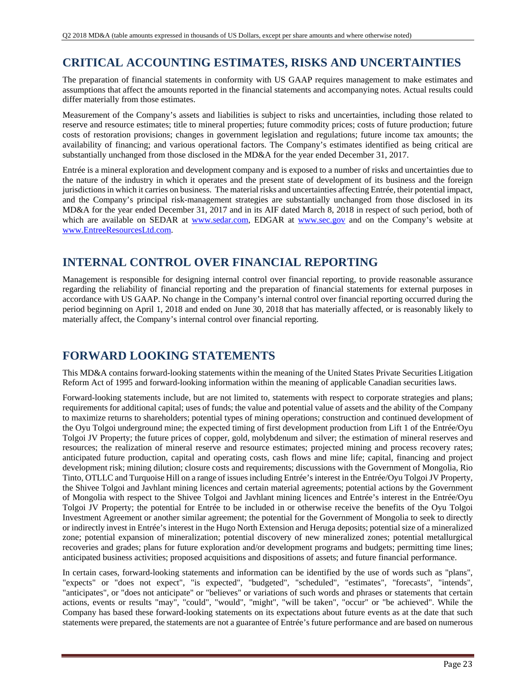# **CRITICAL ACCOUNTING ESTIMATES, RISKS AND UNCERTAINTIES**

The preparation of financial statements in conformity with US GAAP requires management to make estimates and assumptions that affect the amounts reported in the financial statements and accompanying notes. Actual results could differ materially from those estimates.

Measurement of the Company's assets and liabilities is subject to risks and uncertainties, including those related to reserve and resource estimates; title to mineral properties; future commodity prices; costs of future production; future costs of restoration provisions; changes in government legislation and regulations; future income tax amounts; the availability of financing; and various operational factors. The Company's estimates identified as being critical are substantially unchanged from those disclosed in the MD&A for the year ended December 31, 2017.

Entrée is a mineral exploration and development company and is exposed to a number of risks and uncertainties due to the nature of the industry in which it operates and the present state of development of its business and the foreign jurisdictions in which it carries on business. The material risks and uncertainties affecting Entrée, their potential impact, and the Company's principal risk-management strategies are substantially unchanged from those disclosed in its MD&A for the year ended December 31, 2017 and in its AIF dated March 8, 2018 in respect of such period, both of which are available on SEDAR at www.sedar.com, EDGAR at www.sec.gov and on the Company's website at www.EntreeResourcesLtd.com.

# **INTERNAL CONTROL OVER FINANCIAL REPORTING**

Management is responsible for designing internal control over financial reporting, to provide reasonable assurance regarding the reliability of financial reporting and the preparation of financial statements for external purposes in accordance with US GAAP. No change in the Company's internal control over financial reporting occurred during the period beginning on April 1, 2018 and ended on June 30, 2018 that has materially affected, or is reasonably likely to materially affect, the Company's internal control over financial reporting.

## **FORWARD LOOKING STATEMENTS**

This MD&A contains forward-looking statements within the meaning of the United States Private Securities Litigation Reform Act of 1995 and forward-looking information within the meaning of applicable Canadian securities laws.

Forward-looking statements include, but are not limited to, statements with respect to corporate strategies and plans; requirements for additional capital; uses of funds; the value and potential value of assets and the ability of the Company to maximize returns to shareholders; potential types of mining operations; construction and continued development of the Oyu Tolgoi underground mine; the expected timing of first development production from Lift 1 of the Entrée/Oyu Tolgoi JV Property; the future prices of copper, gold, molybdenum and silver; the estimation of mineral reserves and resources; the realization of mineral reserve and resource estimates; projected mining and process recovery rates; anticipated future production, capital and operating costs, cash flows and mine life; capital, financing and project development risk; mining dilution; closure costs and requirements; discussions with the Government of Mongolia, Rio Tinto, OTLLC and Turquoise Hill on a range of issues including Entrée's interest in the Entrée/Oyu Tolgoi JV Property, the Shivee Tolgoi and Javhlant mining licences and certain material agreements; potential actions by the Government of Mongolia with respect to the Shivee Tolgoi and Javhlant mining licences and Entrée's interest in the Entrée/Oyu Tolgoi JV Property; the potential for Entrée to be included in or otherwise receive the benefits of the Oyu Tolgoi Investment Agreement or another similar agreement; the potential for the Government of Mongolia to seek to directly or indirectly invest in Entrée's interest in the Hugo North Extension and Heruga deposits; potential size of a mineralized zone; potential expansion of mineralization; potential discovery of new mineralized zones; potential metallurgical recoveries and grades; plans for future exploration and/or development programs and budgets; permitting time lines; anticipated business activities; proposed acquisitions and dispositions of assets; and future financial performance.

In certain cases, forward-looking statements and information can be identified by the use of words such as "plans", "expects" or "does not expect", "is expected", "budgeted", "scheduled", "estimates", "forecasts", "intends", "anticipates", or "does not anticipate" or "believes" or variations of such words and phrases or statements that certain actions, events or results "may", "could", "would", "might", "will be taken", "occur" or "be achieved". While the Company has based these forward-looking statements on its expectations about future events as at the date that such statements were prepared, the statements are not a guarantee of Entrée's future performance and are based on numerous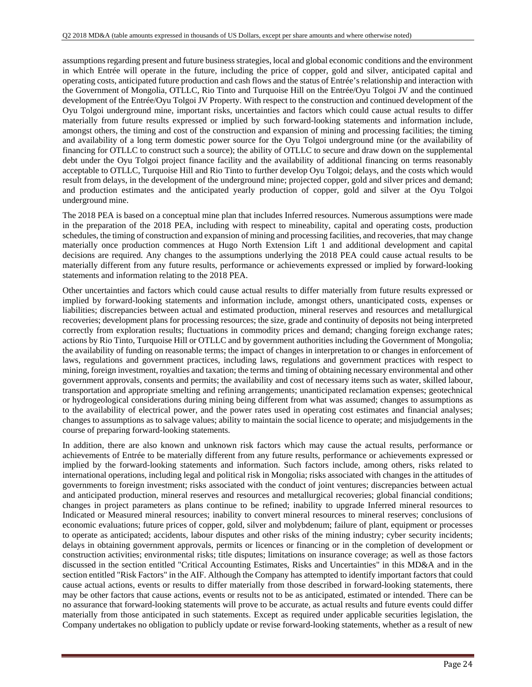assumptions regarding present and future business strategies, local and global economic conditions and the environment in which Entrée will operate in the future, including the price of copper, gold and silver, anticipated capital and operating costs, anticipated future production and cash flows and the status of Entrée's relationship and interaction with the Government of Mongolia, OTLLC, Rio Tinto and Turquoise Hill on the Entrée/Oyu Tolgoi JV and the continued development of the Entrée/Oyu Tolgoi JV Property. With respect to the construction and continued development of the Oyu Tolgoi underground mine, important risks, uncertainties and factors which could cause actual results to differ materially from future results expressed or implied by such forward-looking statements and information include, amongst others, the timing and cost of the construction and expansion of mining and processing facilities; the timing and availability of a long term domestic power source for the Oyu Tolgoi underground mine (or the availability of financing for OTLLC to construct such a source); the ability of OTLLC to secure and draw down on the supplemental debt under the Oyu Tolgoi project finance facility and the availability of additional financing on terms reasonably acceptable to OTLLC, Turquoise Hill and Rio Tinto to further develop Oyu Tolgoi; delays, and the costs which would result from delays, in the development of the underground mine; projected copper, gold and silver prices and demand; and production estimates and the anticipated yearly production of copper, gold and silver at the Oyu Tolgoi underground mine.

The 2018 PEA is based on a conceptual mine plan that includes Inferred resources. Numerous assumptions were made in the preparation of the 2018 PEA, including with respect to mineability, capital and operating costs, production schedules, the timing of construction and expansion of mining and processing facilities, and recoveries, that may change materially once production commences at Hugo North Extension Lift 1 and additional development and capital decisions are required. Any changes to the assumptions underlying the 2018 PEA could cause actual results to be materially different from any future results, performance or achievements expressed or implied by forward-looking statements and information relating to the 2018 PEA.

Other uncertainties and factors which could cause actual results to differ materially from future results expressed or implied by forward-looking statements and information include, amongst others, unanticipated costs, expenses or liabilities; discrepancies between actual and estimated production, mineral reserves and resources and metallurgical recoveries; development plans for processing resources; the size, grade and continuity of deposits not being interpreted correctly from exploration results; fluctuations in commodity prices and demand; changing foreign exchange rates; actions by Rio Tinto, Turquoise Hill or OTLLC and by government authorities including the Government of Mongolia; the availability of funding on reasonable terms; the impact of changes in interpretation to or changes in enforcement of laws, regulations and government practices, including laws, regulations and government practices with respect to mining, foreign investment, royalties and taxation; the terms and timing of obtaining necessary environmental and other government approvals, consents and permits; the availability and cost of necessary items such as water, skilled labour, transportation and appropriate smelting and refining arrangements; unanticipated reclamation expenses; geotechnical or hydrogeological considerations during mining being different from what was assumed; changes to assumptions as to the availability of electrical power, and the power rates used in operating cost estimates and financial analyses; changes to assumptions as to salvage values; ability to maintain the social licence to operate; and misjudgements in the course of preparing forward-looking statements.

In addition, there are also known and unknown risk factors which may cause the actual results, performance or achievements of Entrée to be materially different from any future results, performance or achievements expressed or implied by the forward-looking statements and information. Such factors include, among others, risks related to international operations, including legal and political risk in Mongolia; risks associated with changes in the attitudes of governments to foreign investment; risks associated with the conduct of joint ventures; discrepancies between actual and anticipated production, mineral reserves and resources and metallurgical recoveries; global financial conditions; changes in project parameters as plans continue to be refined; inability to upgrade Inferred mineral resources to Indicated or Measured mineral resources; inability to convert mineral resources to mineral reserves; conclusions of economic evaluations; future prices of copper, gold, silver and molybdenum; failure of plant, equipment or processes to operate as anticipated; accidents, labour disputes and other risks of the mining industry; cyber security incidents; delays in obtaining government approvals, permits or licences or financing or in the completion of development or construction activities; environmental risks; title disputes; limitations on insurance coverage; as well as those factors discussed in the section entitled "Critical Accounting Estimates, Risks and Uncertainties" in this MD&A and in the section entitled "Risk Factors" in the AIF. Although the Company has attempted to identify important factors that could cause actual actions, events or results to differ materially from those described in forward-looking statements, there may be other factors that cause actions, events or results not to be as anticipated, estimated or intended. There can be no assurance that forward-looking statements will prove to be accurate, as actual results and future events could differ materially from those anticipated in such statements. Except as required under applicable securities legislation, the Company undertakes no obligation to publicly update or revise forward-looking statements, whether as a result of new